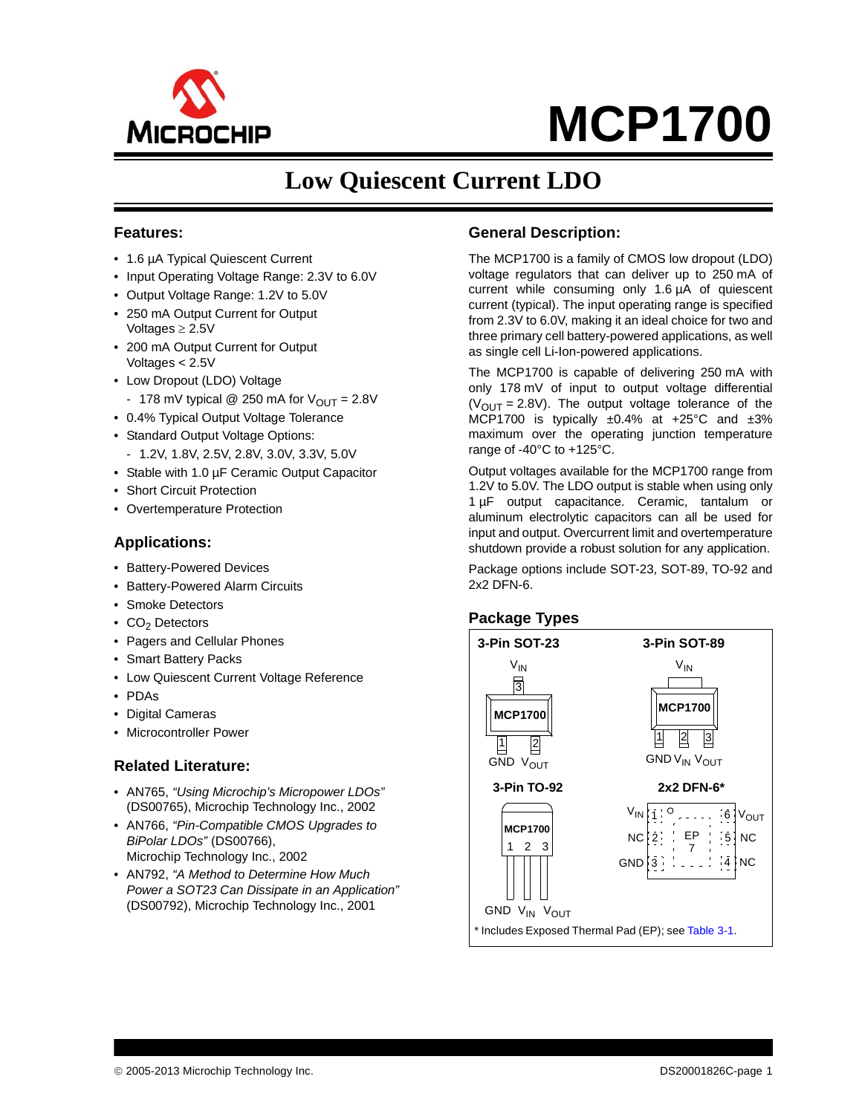

# **MCP1700**

# **Low Quiescent Current LDO**

#### **Features:**

- 1.6 µA Typical Quiescent Current
- Input Operating Voltage Range: 2.3V to 6.0V
- Output Voltage Range: 1.2V to 5.0V
- 250 mA Output Current for Output Voltages  $\geq$  2.5V
- 200 mA Output Current for Output Voltages < 2.5V
- Low Dropout (LDO) Voltage
	- 178 mV typical @ 250 mA for  $V_{\text{OUT}} = 2.8V$
- 0.4% Typical Output Voltage Tolerance
- Standard Output Voltage Options:
	- 1.2V, 1.8V, 2.5V, 2.8V, 3.0V, 3.3V, 5.0V
- Stable with 1.0 µF Ceramic Output Capacitor
- Short Circuit Protection
- Overtemperature Protection

#### **Applications:**

- Battery-Powered Devices
- Battery-Powered Alarm Circuits
- Smoke Detectors
- $CO<sub>2</sub>$  Detectors
- Pagers and Cellular Phones
- Smart Battery Packs
- Low Quiescent Current Voltage Reference
- PDAs
- Digital Cameras
- Microcontroller Power

#### **Related Literature:**

- AN765, *"Using Microchip's Micropower LDOs"* (DS00765), Microchip Technology Inc., 2002
- AN766, *"Pin-Compatible CMOS Upgrades to BiPolar LDOs"* (DS00766), Microchip Technology Inc., 2002
- AN792, *"A Method to Determine How Much Power a SOT23 Can Dissipate in an Application"* (DS00792), Microchip Technology Inc., 2001

#### **General Description:**

The MCP1700 is a family of CMOS low dropout (LDO) voltage regulators that can deliver up to 250 mA of current while consuming only 1.6 µA of quiescent current (typical). The input operating range is specified from 2.3V to 6.0V, making it an ideal choice for two and three primary cell battery-powered applications, as well as single cell Li-Ion-powered applications.

The MCP1700 is capable of delivering 250 mA with only 178 mV of input to output voltage differential  $(V<sub>OUT</sub> = 2.8V)$ . The output voltage tolerance of the MCP1700 is typically  $\pm 0.4\%$  at  $+25^{\circ}$ C and  $\pm 3\%$ maximum over the operating junction temperature range of -40°C to +125°C.

Output voltages available for the MCP1700 range from 1.2V to 5.0V. The LDO output is stable when using only 1 µF output capacitance. Ceramic, tantalum or aluminum electrolytic capacitors can all be used for input and output. Overcurrent limit and overtemperature shutdown provide a robust solution for any application.

Package options include SOT-23, SOT-89, TO-92 and 2x2 DFN-6.

#### **Package Types**

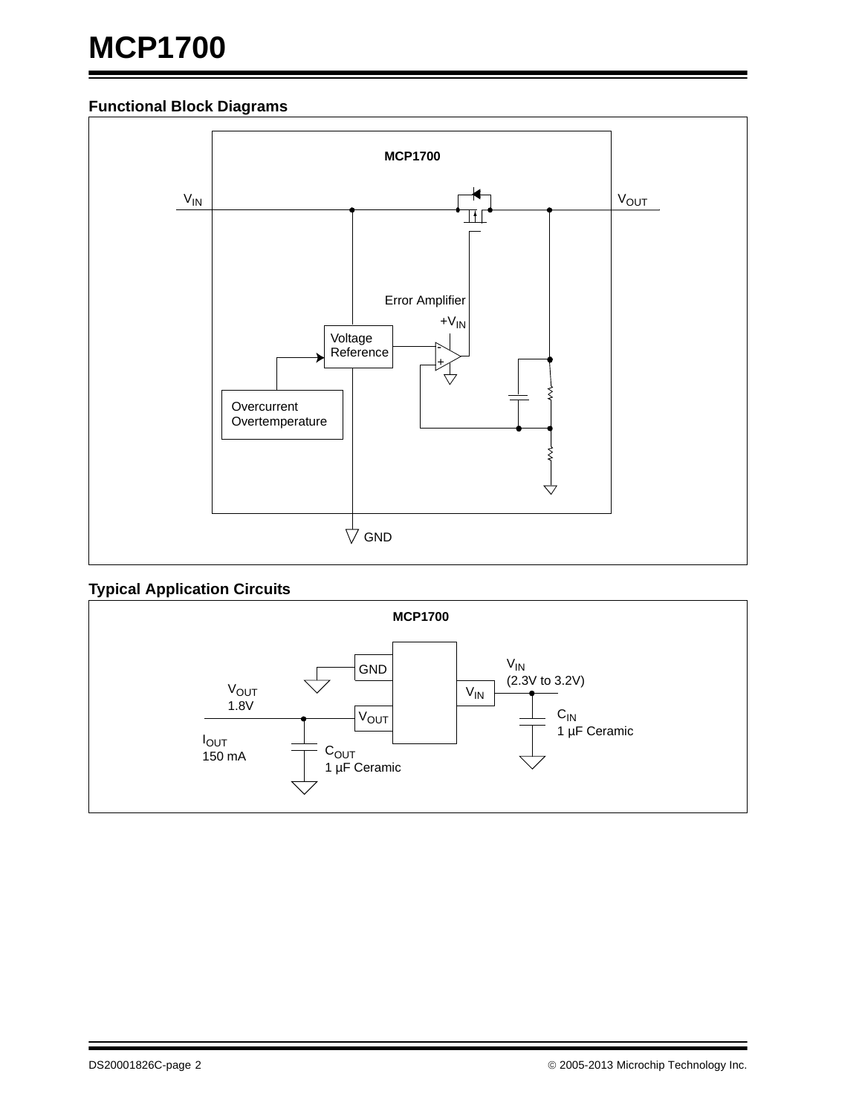# **MCP1700**

#### **Functional Block Diagrams**



#### **Typical Application Circuits**

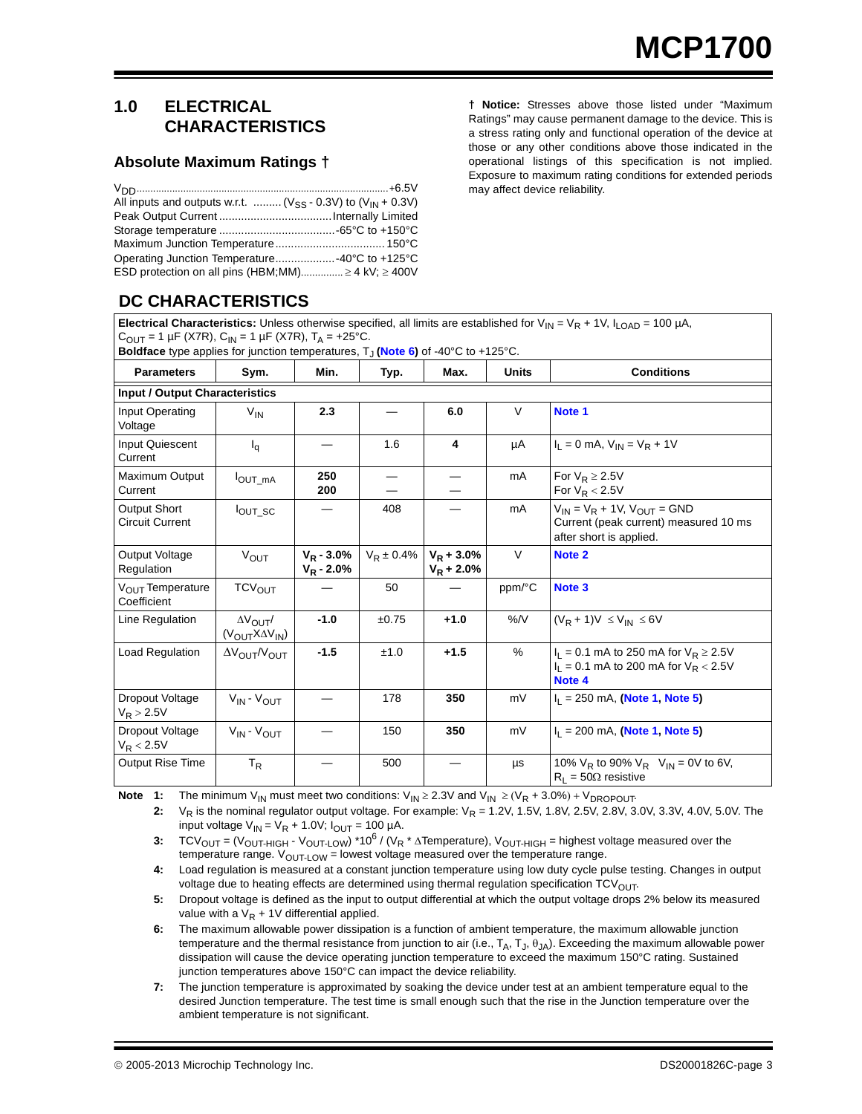#### **1.0 ELECTRICAL CHARACTERISTICS**

#### **Absolute Maximum Ratings †**

| All inputs and outputs w.r.t.  ( $V_{SS}$ - 0.3V) to ( $V_{IN}$ + 0.3V) |  |
|-------------------------------------------------------------------------|--|
|                                                                         |  |
|                                                                         |  |
|                                                                         |  |
| Operating Junction Temperature40°C to +125°C                            |  |
| ESD protection on all pins (HBM;MM) $\geq 4$ kV; $\geq 400$ V           |  |

### <span id="page-2-6"></span> **DC CHARACTERISTICS**

**† Notice:** Stresses above those listed under "Maximum Ratings" may cause permanent damage to the device. This is a stress rating only and functional operation of the device at those or any other conditions above those indicated in the operational listings of this specification is not implied. Exposure to maximum rating conditions for extended periods may affect device reliability.

| Electrical Characteristics: Unless otherwise specified, all limits are established for $V_{IN} = V_R + 1V$ , $I_{LOAD} = 100 \mu A$ , |  |
|---------------------------------------------------------------------------------------------------------------------------------------|--|
| $C_{\text{OUT}}$ = 1 µF (X7R), $C_{\text{IN}}$ = 1 µF (X7R), T <sub>A</sub> = +25 °C.                                                 |  |

**Boldface** type applies for junction temperatures, T<sub>J</sub> [\(Note 6\)](#page-2-0) of -40°C to +125°C.

| <b>Parameters</b>                           | Sym.                                                              | Min.                          | Typ.          | Max.                         | <b>Units</b> | <b>Conditions</b>                                                                                         |
|---------------------------------------------|-------------------------------------------------------------------|-------------------------------|---------------|------------------------------|--------------|-----------------------------------------------------------------------------------------------------------|
| <b>Input / Output Characteristics</b>       |                                                                   |                               |               |                              |              |                                                                                                           |
| Input Operating<br>Voltage                  | $V_{IN}$                                                          | 2.3                           |               | 6.0                          | V            | Note <sub>1</sub>                                                                                         |
| Input Quiescent<br>Current                  | $I_q$                                                             |                               | 1.6           | 4                            | μA           | $I_1 = 0$ mA, $V_{IN} = V_R + 1V$                                                                         |
| Maximum Output<br>Current                   | OUT mA                                                            | 250<br>200                    |               |                              | mA           | For $V_R \geq 2.5V$<br>For $V_R < 2.5V$                                                                   |
| Output Short<br><b>Circuit Current</b>      | <b>IOUT SC</b>                                                    |                               | 408           |                              | mA           | $V_{IN} = V_R + 1V$ , $V_{OUT} = GND$<br>Current (peak current) measured 10 ms<br>after short is applied. |
| Output Voltage<br>Regulation                | <b>VOUT</b>                                                       | $V_R - 3.0\%$<br>$V_R$ - 2.0% | $V_R = 0.4\%$ | $V_R$ + 3.0%<br>$V_R$ + 2.0% | V            | Note 2                                                                                                    |
| V <sub>OUT</sub> Temperature<br>Coefficient | TCV <sub>OUT</sub>                                                |                               | 50            |                              | ppm/°C       | Note 3                                                                                                    |
| Line Regulation                             | $\Delta V_{\text{OUT}}/$<br>(V <sub>OUT</sub> XAV <sub>IN</sub> ) | $-1.0$                        | ±0.75         | $+1.0$                       | %N           | $(V_R + 1)V \leq V_{IN} \leq 6V$                                                                          |
| Load Regulation                             | ΔV <sub>ΟUT</sub> /V <sub>ΟUT</sub>                               | $-1.5$                        | ±1.0          | $+1.5$                       | %            | $I_L = 0.1$ mA to 250 mA for $V_R \ge 2.5V$<br>$I_1 = 0.1$ mA to 200 mA for $V_R < 2.5V$<br>Note 4        |
| Dropout Voltage<br>$V_R > 2.5V$             | $V_{IN}$ - $V_{OUT}$                                              |                               | 178           | 350                          | mV           | $I_L$ = 250 mA, (Note 1, Note 5)                                                                          |
| Dropout Voltage<br>$V_R < 2.5V$             | $V_{IN} - V_{OUT}$                                                |                               | 150           | 350                          | mV           | $I_L = 200$ mA, (Note 1, Note 5)                                                                          |
| <b>Output Rise Time</b>                     | $T_R$                                                             |                               | 500           |                              | μs           | 10% $V_R$ to 90% $V_R$ $V_{IN}$ = 0V to 6V,<br>$R_1 = 50\Omega$ resistive                                 |

<span id="page-2-2"></span><span id="page-2-1"></span>**Note 1:** The minimum V<sub>IN</sub> must meet two conditions: V<sub>IN</sub>  $\geq$  2.3V and V<sub>IN</sub>  $\geq$  (V<sub>R</sub> + 3.0%) + V<sub>DROPOUT</sub>.

**2:** V<sub>R</sub> is the nominal regulator output voltage. For example: V<sub>R</sub> = 1.2V, 1.5V, 1.8V, 2.5V, 2.8V, 3.0V, 3.3V, 4.0V, 5.0V. The input voltage  $V_{IN} = V_R + 1.0V$ ;  $I_{OUT} = 100 \mu A$ .

<span id="page-2-3"></span>**3:**  $TCV_{OUT} = (V_{OUT\text{-}HIGH} - V_{OUT\text{-}LOW}) * 10^6 / (V_R * \Delta \text{Temperature})$ ,  $V_{OUT\text{-}HIGH} = \text{highest voltage measured over the}$ temperature range.  $V_{OUT-LOW}$  = lowest voltage measured over the temperature range.

<span id="page-2-4"></span>**4:** Load regulation is measured at a constant junction temperature using low duty cycle pulse testing. Changes in output voltage due to heating effects are determined using thermal regulation specification TCV<sub>OUT</sub>.

<span id="page-2-5"></span>**5:** Dropout voltage is defined as the input to output differential at which the output voltage drops 2% below its measured value with a  $V_R$  + 1V differential applied.

<span id="page-2-0"></span>**6:** The maximum allowable power dissipation is a function of ambient temperature, the maximum allowable junction temperature and the thermal resistance from junction to air (i.e.,  $T_A$ ,  $T_J$ ,  $\theta_{JA}$ ). Exceeding the maximum allowable power dissipation will cause the device operating junction temperature to exceed the maximum 150°C rating. Sustained junction temperatures above 150°C can impact the device reliability.

**7:** The junction temperature is approximated by soaking the device under test at an ambient temperature equal to the desired Junction temperature. The test time is small enough such that the rise in the Junction temperature over the ambient temperature is not significant.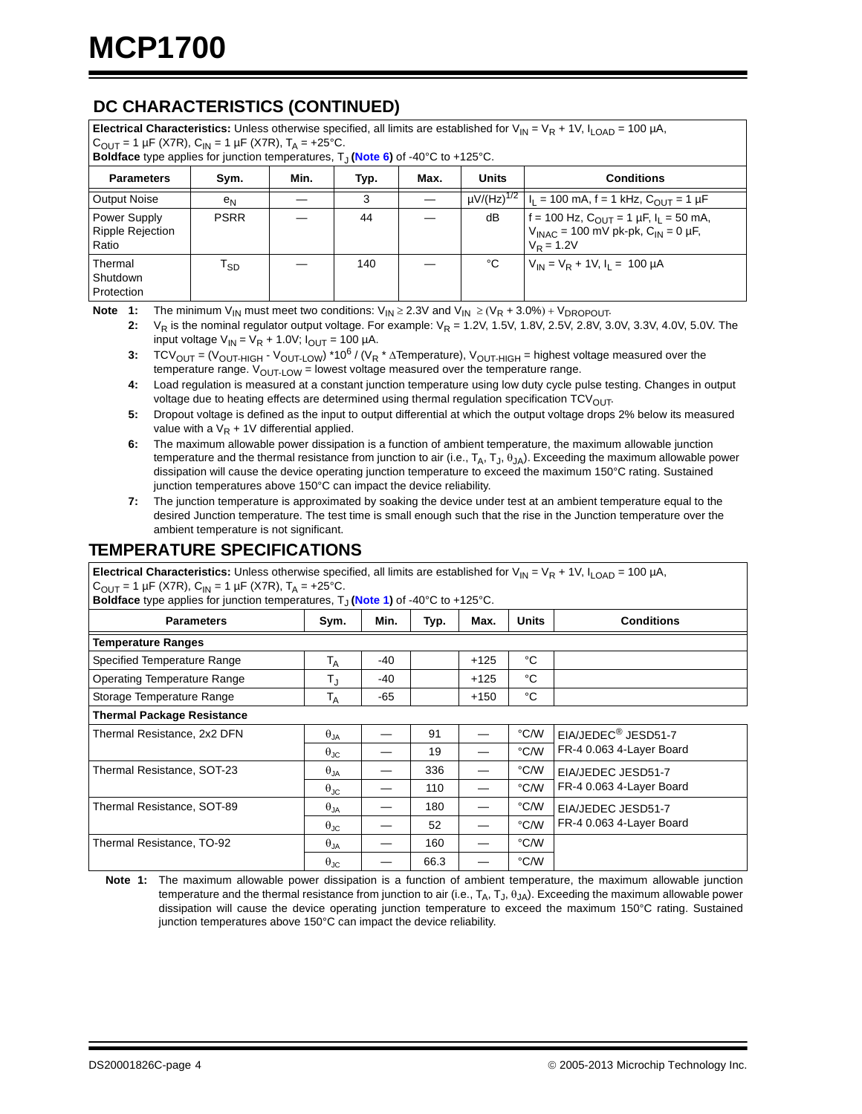#### **DC CHARACTERISTICS (CONTINUED)**

**Electrical Characteristics:** Unless otherwise specified, all limits are established for  $V_{IN} = V_R + 1V$ ,  $I_{LOAD} = 100 \mu A$ ,

 $C_{\text{OUT}} = 1 \ \mu \text{F}$  (X7R),  $C_{\text{IN}} = 1 \ \mu \text{F}$  (X7R),  $T_A = +25^{\circ} \text{C}$ .

**Boldface** type applies for junction temperatures, T<sub>J</sub> (Note 6) of -40°C to +125°C.

| <b>Parameters</b>                                | Sym.                       | Min. | Typ. | Max. | Units                       | <b>Conditions</b>                                                                                                                                           |  |  |
|--------------------------------------------------|----------------------------|------|------|------|-----------------------------|-------------------------------------------------------------------------------------------------------------------------------------------------------------|--|--|
| <b>Output Noise</b>                              | $e_N$                      |      | 3    |      | $\mu$ V/(Hz) <sup>1/2</sup> | $I_1 = 100$ mA, f = 1 kHz, $C_{\text{OUT}} = 1 \mu F$                                                                                                       |  |  |
| Power Supply<br><b>Ripple Rejection</b><br>Ratio | <b>PSRR</b>                |      | 44   |      | dB                          | $f = 100$ Hz, $C_{OUT} = 1 \mu F$ , $I_1 = 50$ mA,<br>$V_{\text{INAC}} = 100 \text{ mV} \text{ pk-pk}, C_{\text{IN}} = 0 \text{ µF},$<br>$V_{\rm P} = 1.2V$ |  |  |
| Thermal<br>Shutdown<br>Protection                | $\mathsf{T}_{\mathsf{SD}}$ |      | 140  |      | °C                          | $V_{IN} = V_R + 1V$ , $I_1 = 100 \mu A$                                                                                                                     |  |  |

**Note** 1: The minimum V<sub>IN</sub> must meet two conditions: V<sub>IN</sub>  $\geq$  2.3V and V<sub>IN</sub>  $\geq$  (V<sub>R</sub> + 3.0%) + V<sub>DROPOUT</sub>.

- **4:** Load regulation is measured at a constant junction temperature using low duty cycle pulse testing. Changes in output voltage due to heating effects are determined using thermal regulation specification  $TCV<sub>OUT</sub>$ .
- **5:** Dropout voltage is defined as the input to output differential at which the output voltage drops 2% below its measured value with a  $V_R$  + 1V differential applied.
- **6:** The maximum allowable power dissipation is a function of ambient temperature, the maximum allowable junction temperature and the thermal resistance from junction to air (i.e.,  $T_A$ ,  $T_J$ ,  $\theta_{JA}$ ). Exceeding the maximum allowable power dissipation will cause the device operating junction temperature to exceed the maximum 150°C rating. Sustained junction temperatures above 150°C can impact the device reliability.
- **7:** The junction temperature is approximated by soaking the device under test at an ambient temperature equal to the desired Junction temperature. The test time is small enough such that the rise in the Junction temperature over the ambient temperature is not significant.

#### <span id="page-3-1"></span>**TEMPERATURE SPECIFICATIONS**

**Electrical Characteristics:** Unless otherwise specified, all limits are established for  $V_{IN} = V_R + 1V$ , I<sub>LOAD</sub> = 100 µA,  $C_{\text{OUT}} = 1 \ \mu \text{F}$  (X7R),  $C_{\text{IN}} = 1 \ \mu \text{F}$  (X7R),  $T_A = +25^{\circ} \text{C}$ .

**Boldface** type applies for junction temperatures, T<sub>J</sub> [\(Note 1\)](#page-3-0) of -40°C to +125°C.

| <b>Parameters</b>                  | Sym.                 | Min.  | Typ. | Max.   | <b>Units</b> | <b>Conditions</b>               |
|------------------------------------|----------------------|-------|------|--------|--------------|---------------------------------|
| <b>Temperature Ranges</b>          |                      |       |      |        |              |                                 |
| Specified Temperature Range        | $T_A$                | $-40$ |      | $+125$ | °C           |                                 |
| <b>Operating Temperature Range</b> | $T_{\rm J}$          | -40   |      | $+125$ | °C           |                                 |
| Storage Temperature Range          | T <sub>A</sub>       | $-65$ |      | $+150$ | °C           |                                 |
| <b>Thermal Package Resistance</b>  |                      |       |      |        |              |                                 |
| Thermal Resistance, 2x2 DFN        | $\theta_{JA}$        |       | 91   |        | °C/W         | EIA/JEDEC <sup>®</sup> JESD51-7 |
|                                    | $\theta_{\text{JC}}$ |       | 19   |        | °C/W         | FR-4 0.063 4-Layer Board        |
| Thermal Resistance, SOT-23         | $\theta_{JA}$        |       | 336  |        | °C/W         | EIA/JEDEC JESD51-7              |
|                                    | $\theta_{\text{JC}}$ |       | 110  |        | °C/W         | FR-4 0.063 4-Layer Board        |
| Thermal Resistance, SOT-89         | $\theta_{JA}$        |       | 180  |        | °C/W         | EIA/JEDEC JESD51-7              |
|                                    | $\theta_{\text{JC}}$ |       | 52   |        | °C/W         | FR-4 0.063 4-Layer Board        |
| Thermal Resistance, TO-92          | $\theta_{JA}$        |       | 160  |        | °C/W         |                                 |
|                                    | $\theta_{\text{JC}}$ |       | 66.3 |        | °C/W         |                                 |

<span id="page-3-0"></span>**Note 1:** The maximum allowable power dissipation is a function of ambient temperature, the maximum allowable junction temperature and the thermal resistance from junction to air (i.e.,  $T_A$ ,  $T_J$ ,  $\theta_{JA}$ ). Exceeding the maximum allowable power dissipation will cause the device operating junction temperature to exceed the maximum 150°C rating. Sustained junction temperatures above 150°C can impact the device reliability.

**<sup>2:</sup>**  $V_R$  is the nominal regulator output voltage. For example:  $V_R = 1.2V$ , 1.5V, 1.8V, 2.5V, 2.8V, 3.0V, 3.3V, 4.0V, 5.0V. The input voltage  $V_{IN} = V_R + 1.0V$ ;  $I_{OUT} = 100 \mu A$ .

**<sup>3:</sup>**  $TCV_{OUT} = (V_{OUT\text{-}HIGH} - V_{OUT\text{-}LOW}) * 10^6 / (V_R * \Delta \text{Temperature})$ ,  $V_{OUT\text{-}HIGH} = \text{highest voltage measured over the}$ temperature range.  $V_{OUT\text{-}LOW}$  = lowest voltage measured over the temperature range.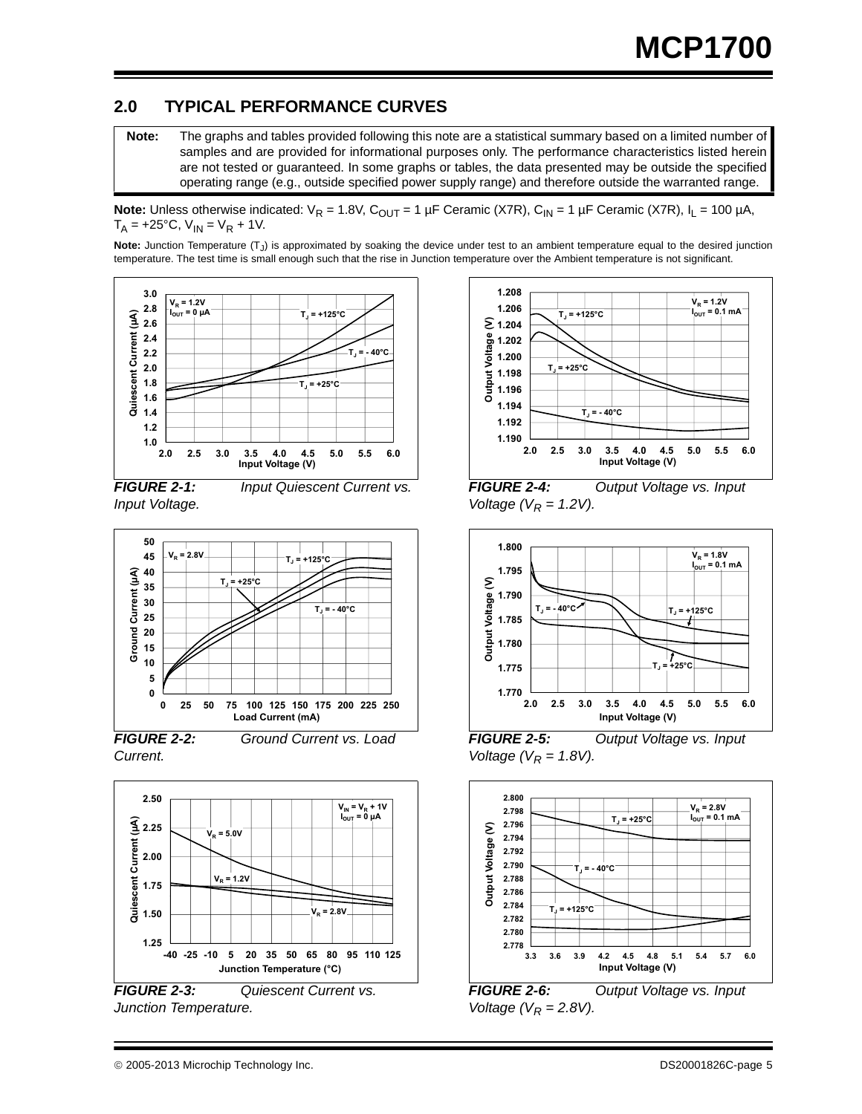#### <span id="page-4-0"></span>**2.0 TYPICAL PERFORMANCE CURVES**

**Note:** The graphs and tables provided following this note are a statistical summary based on a limited number of samples and are provided for informational purposes only. The performance characteristics listed herein are not tested or guaranteed. In some graphs or tables, the data presented may be outside the specified operating range (e.g., outside specified power supply range) and therefore outside the warranted range.

**Note:** Unless otherwise indicated:  $V_R = 1.8V$ , C<sub>OUT</sub> = 1 µF Ceramic (X7R), C<sub>IN</sub> = 1 µF Ceramic (X7R), I<sub>L</sub> = 100 µA,  $T_A = +25$ °C,  $V_{IN} = V_R + 1V$ .

**Note:** Junction Temperature (T<sub>J</sub>) is approximated by soaking the device under test to an ambient temperature equal to the desired junction temperature. The test time is small enough such that the rise in Junction temperature over the Ambient temperature is not significant.



*Input Voltage.*

*FIGURE 2-1: Input Quiescent Current vs.* 



*Current.*



*FIGURE 2-3: Quiescent Current vs. Junction Temperature.*



*FIGURE 2-4: Output Voltage vs. Input Voltage (V<sub>R</sub> = 1.2V).* 



*FIGURE 2-5: Output Voltage vs. Input Voltage (V<sub>R</sub> = 1.8V).* 



*FIGURE 2-6: Output Voltage vs. Input Voltage (V<sub>R</sub> = 2.8V).*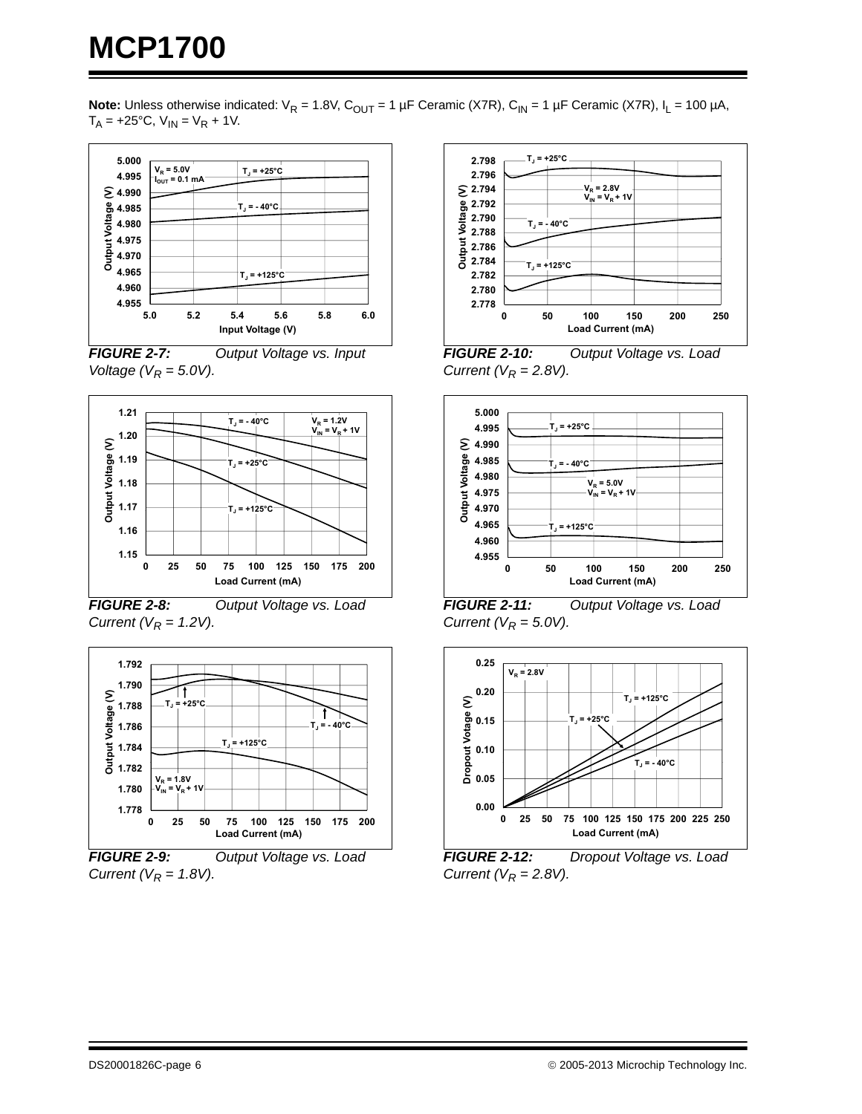# **MCP1700**

**Note:** Unless otherwise indicated:  $V_R = 1.8V$ ,  $C_{OUT} = 1 \mu F$  Ceramic (X7R),  $C_{IN} = 1 \mu F$  Ceramic (X7R),  $I_L = 100 \mu A$ ,  $T_A = +25$ °C,  $V_{IN} = V_R + 1V$ .



*FIGURE 2-7: Output Voltage vs. Input Voltage (* $V_R$  *= 5.0V).* 



*FIGURE 2-8: Output Voltage vs. Load Current (* $V_R$  *= 1.2V).* 



*FIGURE 2-9: Output Voltage vs. Load Current (* $V_R$  *= 1.8V).* 



*FIGURE 2-10: Output Voltage vs. Load Current (* $V_R$  *= 2.8V).* 



*FIGURE 2-11: Output Voltage vs. Load Current (* $V_R$  *= 5.0V).* 



*FIGURE 2-12: Dropout Voltage vs. Load Current (* $V_R$  *= 2.8V).*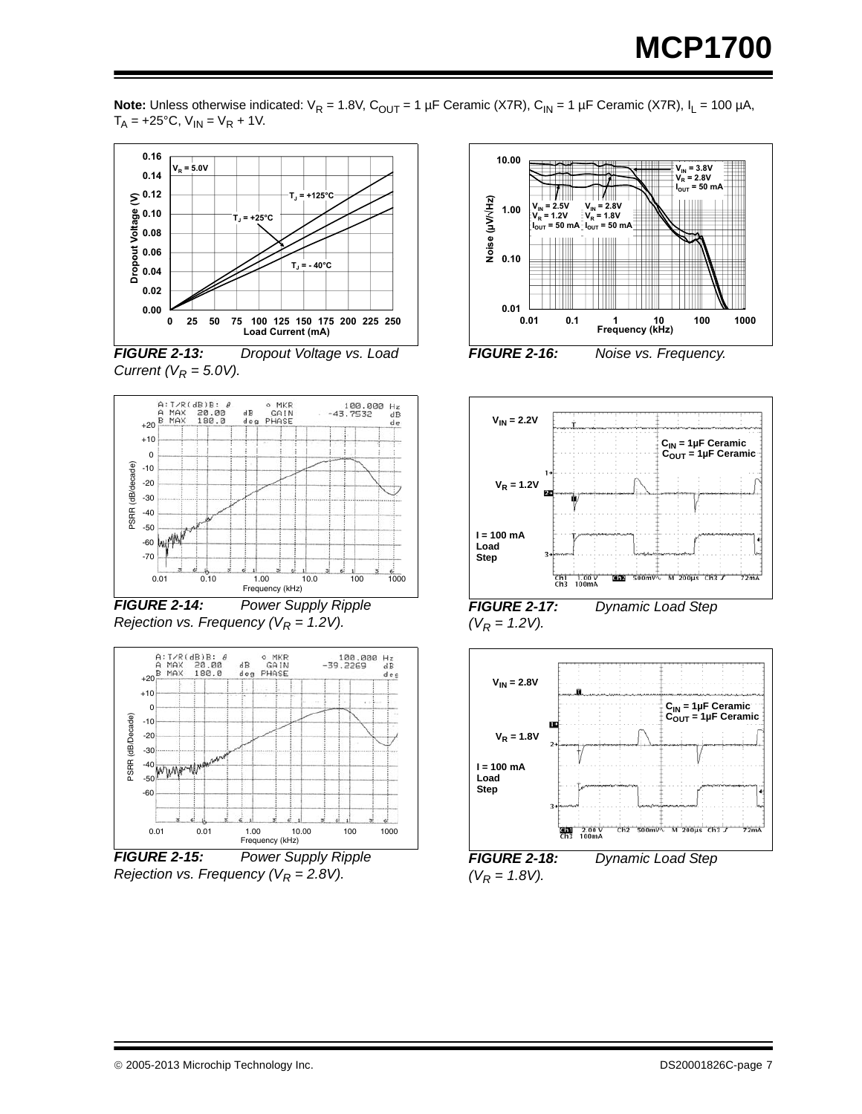



*FIGURE 2-13: Dropout Voltage vs. Load Current (* $V_R$  *= 5.0V).* 



*Rejection vs. Frequency (* $V_R$  *= 1.2V).* 



*FIGURE 2-15: Power Supply Ripple Rejection vs. Frequency (* $V_R = 2.8V$ *).* 



*FIGURE 2-16: Noise vs. Frequency.*



*FIGURE 2-17: Dynamic Load Step*   $(V_R = 1.2V)$ .

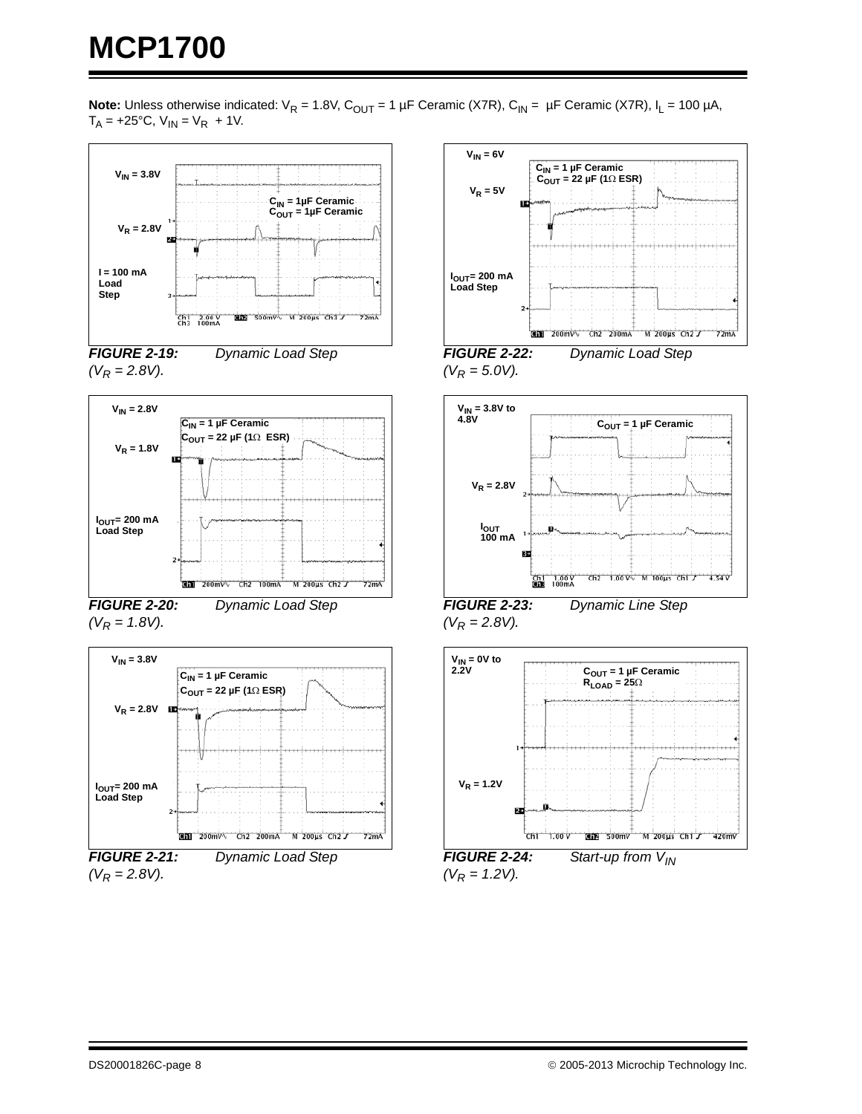**Note:** Unless otherwise indicated:  $V_R = 1.8V$ ,  $C_{OUT} = 1 \mu F$  Ceramic (X7R),  $C_{IN} = \mu F$  Ceramic (X7R),  $I_L = 100 \mu A$ ,  $T_A$  = +25°C,  $V_{IN}$  =  $V_R$  + 1V.





 $(V_R = 1.8V)$ .





 $(V_R = 5.0V)$ .



*FIGURE 2-23: Dynamic Line Step*   $(V_R = 2.8V)$ .

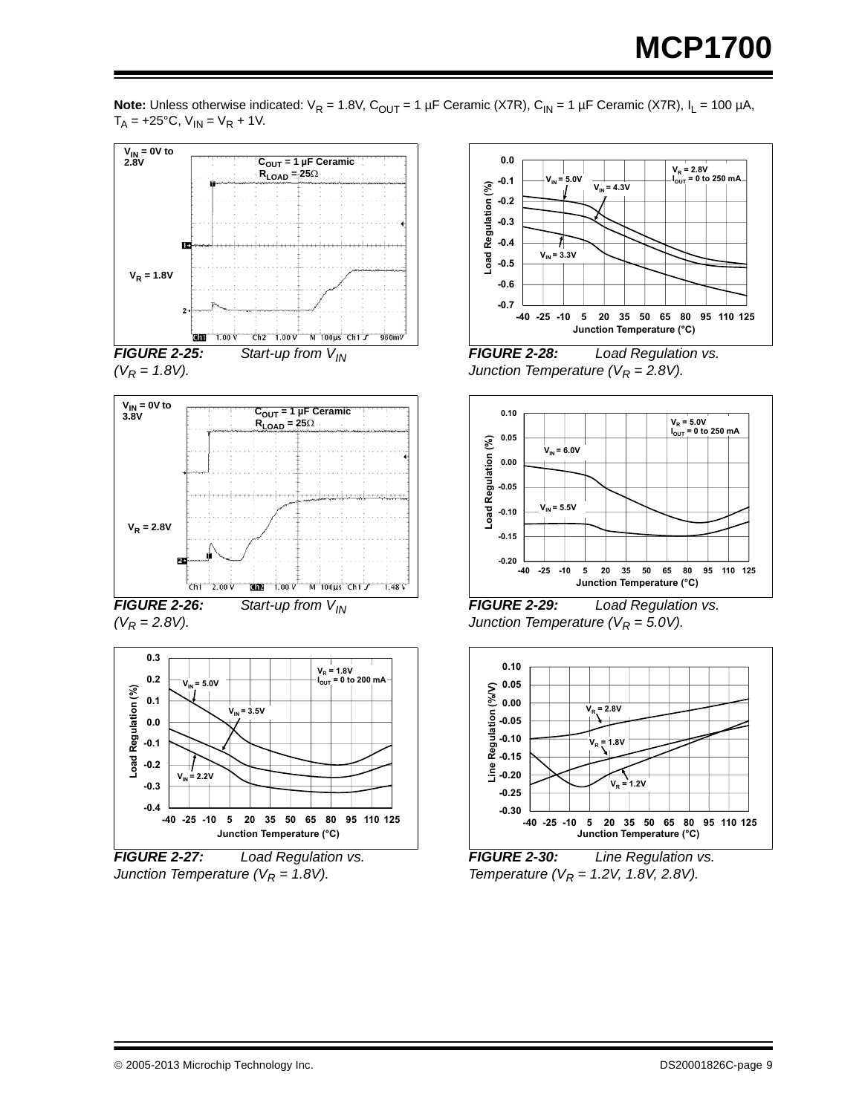**Note:** Unless otherwise indicated:  $V_R = 1.8V$ ,  $C_{OUT} = 1 \mu F$  Ceramic (X7R),  $C_{IN} = 1 \mu F$  Ceramic (X7R),  $I_L = 100 \mu A$ ,  $T_A = +25$ °C,  $V_{IN} = V_R + 1V$ .



 $(V_R = 1.8V)$ .



 $(V_R = 2.8V)$ .



*FIGURE 2-27: Load Regulation vs. Junction Temperature (* $V_R$  *= 1.8V).* 



*FIGURE 2-28: Load Regulation vs. Junction Temperature (* $V_R$  *= 2.8V).* 



*FIGURE 2-29: Load Regulation vs. Junction Temperature (* $V_R$  *= 5.0V).* 



*FIGURE 2-30: Line Regulation vs. Temperature (VR = 1.2V, 1.8V, 2.8V).*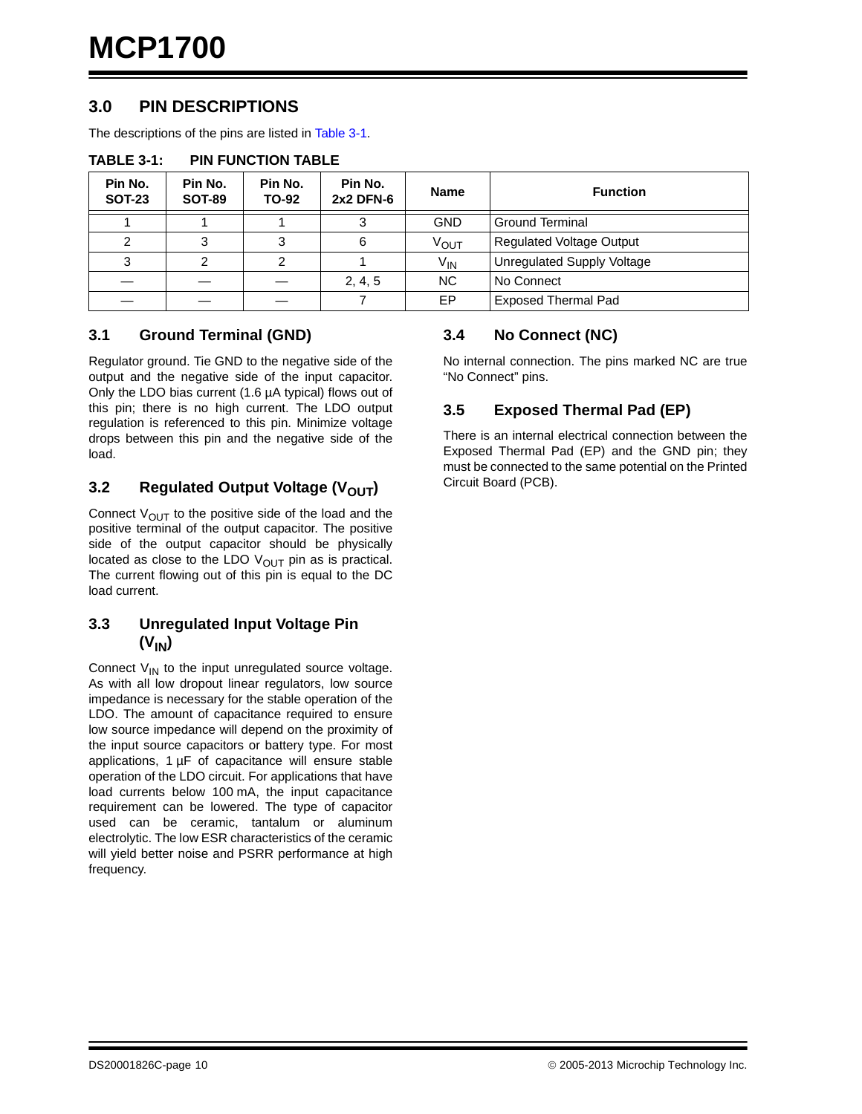#### <span id="page-9-1"></span>**3.0 PIN DESCRIPTIONS**

The descriptions of the pins are listed in [Table 3-1.](#page-9-0)

| Pin No.<br><b>SOT-23</b> | Pin No.<br><b>SOT-89</b> | Pin No.<br><b>TO-92</b> | Pin No.<br>2x2 DFN-6 | <b>Name</b>      | <b>Function</b>                   |
|--------------------------|--------------------------|-------------------------|----------------------|------------------|-----------------------------------|
|                          |                          |                         |                      | <b>GND</b>       | Ground Terminal                   |
| 2                        |                          |                         |                      | V <sub>OUT</sub> | <b>Regulated Voltage Output</b>   |
| 3                        |                          | ົ                       |                      | $V_{IN}$         | <b>Unregulated Supply Voltage</b> |
|                          |                          |                         | 2, 4, 5              | <b>NC</b>        | No Connect                        |
|                          |                          |                         |                      | EP               | <b>Exposed Thermal Pad</b>        |

<span id="page-9-0"></span>**TABLE 3-1: PIN FUNCTION TABLE**

#### **3.1 Ground Terminal (GND)**

Regulator ground. Tie GND to the negative side of the output and the negative side of the input capacitor. Only the LDO bias current (1.6 µA typical) flows out of this pin; there is no high current. The LDO output regulation is referenced to this pin. Minimize voltage drops between this pin and the negative side of the load.

#### **3.2** Regulated Output Voltage (V<sub>OUT</sub>)

Connect  $V_{\text{OUT}}$  to the positive side of the load and the positive terminal of the output capacitor. The positive side of the output capacitor should be physically located as close to the LDO  $V_{\text{OUT}}$  pin as is practical. The current flowing out of this pin is equal to the DC load current.

#### **3.3 Unregulated Input Voltage Pin (VIN)**

Connect  $V_{IN}$  to the input unregulated source voltage. As with all low dropout linear regulators, low source impedance is necessary for the stable operation of the LDO. The amount of capacitance required to ensure low source impedance will depend on the proximity of the input source capacitors or battery type. For most applications, 1 µF of capacitance will ensure stable operation of the LDO circuit. For applications that have load currents below 100 mA, the input capacitance requirement can be lowered. The type of capacitor used can be ceramic, tantalum or aluminum electrolytic. The low ESR characteristics of the ceramic will yield better noise and PSRR performance at high frequency.

#### **3.4 No Connect (NC)**

No internal connection. The pins marked NC are true "No Connect" pins.

#### **3.5 Exposed Thermal Pad (EP)**

There is an internal electrical connection between the Exposed Thermal Pad (EP) and the GND pin; they must be connected to the same potential on the Printed Circuit Board (PCB).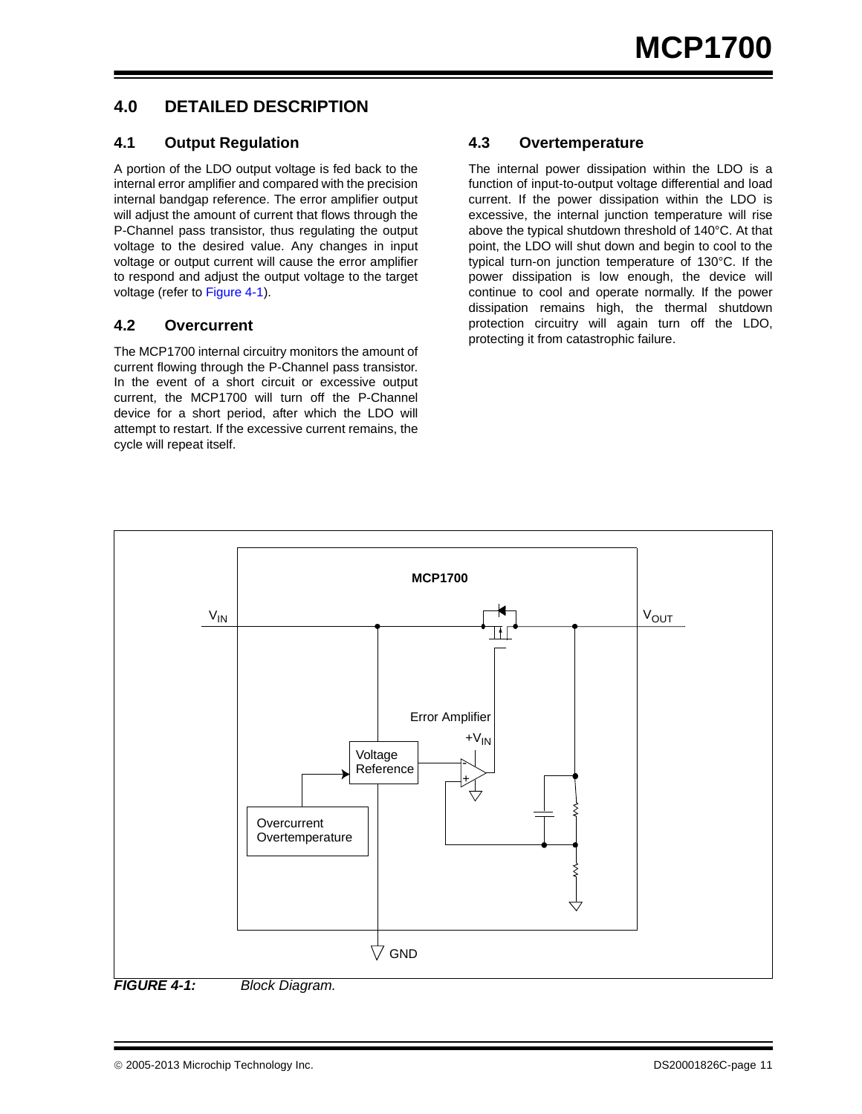#### **4.0 DETAILED DESCRIPTION**

#### **4.1 Output Regulation**

A portion of the LDO output voltage is fed back to the internal error amplifier and compared with the precision internal bandgap reference. The error amplifier output will adjust the amount of current that flows through the P-Channel pass transistor, thus regulating the output voltage to the desired value. Any changes in input voltage or output current will cause the error amplifier to respond and adjust the output voltage to the target voltage (refer to [Figure 4-1](#page-10-0)).

#### **4.2 Overcurrent**

The MCP1700 internal circuitry monitors the amount of current flowing through the P-Channel pass transistor. In the event of a short circuit or excessive output current, the MCP1700 will turn off the P-Channel device for a short period, after which the LDO will attempt to restart. If the excessive current remains, the cycle will repeat itself.

#### **4.3 Overtemperature**

The internal power dissipation within the LDO is a function of input-to-output voltage differential and load current. If the power dissipation within the LDO is excessive, the internal junction temperature will rise above the typical shutdown threshold of 140°C. At that point, the LDO will shut down and begin to cool to the typical turn-on junction temperature of 130°C. If the power dissipation is low enough, the device will continue to cool and operate normally. If the power dissipation remains high, the thermal shutdown protection circuitry will again turn off the LDO, protecting it from catastrophic failure.

<span id="page-10-0"></span>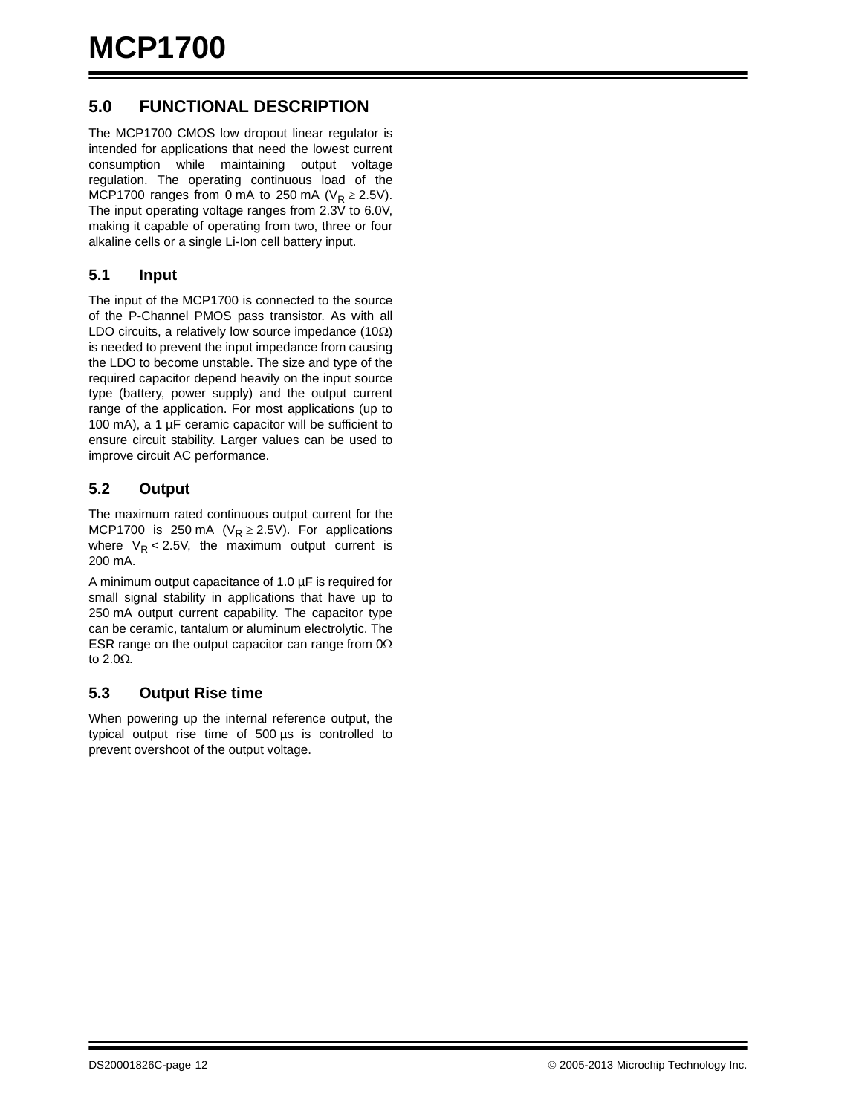#### **5.0 FUNCTIONAL DESCRIPTION**

The MCP1700 CMOS low dropout linear regulator is intended for applications that need the lowest current consumption while maintaining output voltage regulation. The operating continuous load of the MCP1700 ranges from 0 mA to 250 mA ( $V_R \ge 2.5V$ ). The input operating voltage ranges from 2.3V to 6.0V, making it capable of operating from two, three or four alkaline cells or a single Li-Ion cell battery input.

#### **5.1 Input**

The input of the MCP1700 is connected to the source of the P-Channel PMOS pass transistor. As with all LDO circuits, a relatively low source impedance  $(10\Omega)$ is needed to prevent the input impedance from causing the LDO to become unstable. The size and type of the required capacitor depend heavily on the input source type (battery, power supply) and the output current range of the application. For most applications (up to 100 mA), a 1 µF ceramic capacitor will be sufficient to ensure circuit stability. Larger values can be used to improve circuit AC performance.

#### **5.2 Output**

The maximum rated continuous output current for the MCP1700 is 250 mA ( $V_R \ge 2.5V$ ). For applications where  $V_R < 2.5V$ , the maximum output current is 200 mA.

A minimum output capacitance of 1.0 µF is required for small signal stability in applications that have up to 250 mA output current capability. The capacitor type can be ceramic, tantalum or aluminum electrolytic. The ESR range on the output capacitor can range from  $0\Omega$ to  $2.0\Omega$ .

#### **5.3 Output Rise time**

When powering up the internal reference output, the typical output rise time of 500 µs is controlled to prevent overshoot of the output voltage.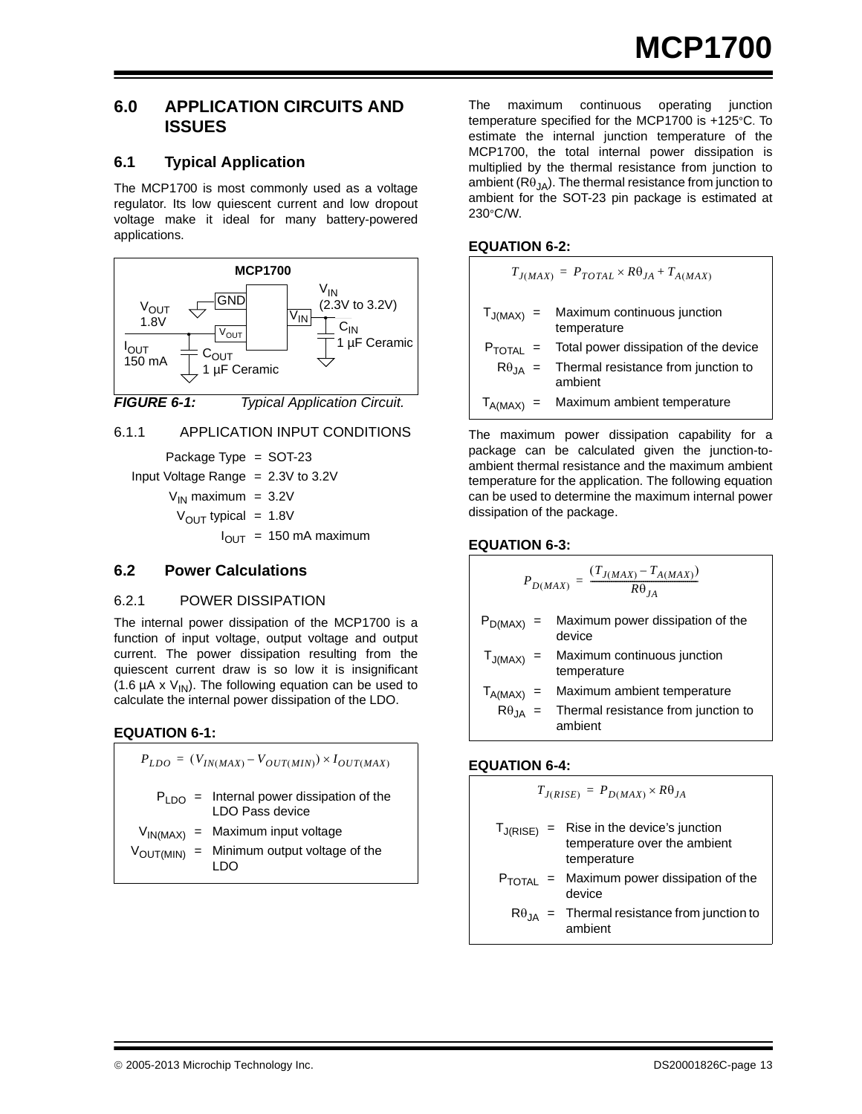#### **6.0 APPLICATION CIRCUITS AND ISSUES**

#### **6.1 Typical Application**

The MCP1700 is most commonly used as a voltage regulator. Its low quiescent current and low dropout voltage make it ideal for many battery-powered applications.





#### 6.1.1 APPLICATION INPUT CONDITIONS

Package Type = SOT-23 Input Voltage Range = 2.3V to 3.2V  $V_{\text{IN}}$  maximum = 3.2V  $V_{\text{OUT}}$  typical = 1.8V  $I_{\text{OUT}} = 150 \text{ mA}$  maximum

#### **6.2 Power Calculations**

#### 6.2.1 POWER DISSIPATION

The internal power dissipation of the MCP1700 is a function of input voltage, output voltage and output current. The power dissipation resulting from the quiescent current draw is so low it is insignificant (1.6  $\mu$ A x V<sub>IN</sub>). The following equation can be used to calculate the internal power dissipation of the LDO.

#### **EQUATION 6-1:**

|  | $P_{LDO} = (V_{IN(MAX)} - V_{OUT(MIN)}) \times I_{OUT(MAX)}$     |
|--|------------------------------------------------------------------|
|  | $P_{LDO}$ = Internal power dissipation of the<br>LDO Pass device |
|  | $V_{IN(MAX)}$ = Maximum input voltage                            |
|  | $V_{\text{OUT(MIN)}}$ = Minimum output voltage of the            |

The maximum continuous operating junction temperature specified for the MCP1700 is +125°C. To estimate the internal junction temperature of the MCP1700, the total internal power dissipation is multiplied by the thermal resistance from junction to ambient ( $R\theta_{JA}$ ). The thermal resistance from junction to ambient for the SOT-23 pin package is estimated at 230°C/W.

#### **EQUATION 6-2:**

$$
T_{J(MAX)} = P_{TOTAL} \times R\theta_{JA} + T_{A(MAX)}
$$
  
\n
$$
T_{J(MAX)} = \text{Maximum continuous junction}
$$
  
\ntemperature  
\n
$$
P_{TOTAL} = \text{Total power dissipation of the device}
$$
  
\n
$$
R\theta_{JA} = \text{Thermal resistance from junction to}
$$
  
\nambient  
\n
$$
T_{A(MAX)} = \text{Maximum ambient temperature}
$$

The maximum power dissipation capability for a package can be calculated given the junction-toambient thermal resistance and the maximum ambient temperature for the application. The following equation can be used to determine the maximum internal power dissipation of the package.

#### **EQUATION 6-3:**

$$
P_{D(MAX)} = \frac{(T_{J(MAX)} - T_{A(MAX)})}{R\theta_{JA}}
$$
  
\n
$$
P_{D(MAX)} = \text{Maximum power dissipation of the device}
$$
  
\n
$$
T_{J(MAX)} = \text{Maximum continuous junction}
$$
  
\ntemperature  
\n
$$
T_{A(MAX)} = \text{Maximum ambient temperature}
$$
  
\n
$$
R\theta_{JA} = \text{Thermal resistance from junction to ambient}
$$

#### **EQUATION 6-4:**

$$
T_{J(RISE)} = P_{D(MAX)} \times R\theta_{JA}
$$

$$
T_{J(RISE)} =
$$
 Rise in the device's junction temperature over the ambient temperature

- $P_{\text{TOTAL}}$  = Maximum power dissipation of the device
	- $R\theta_{JA}$  = Thermal resistance from junction to ambient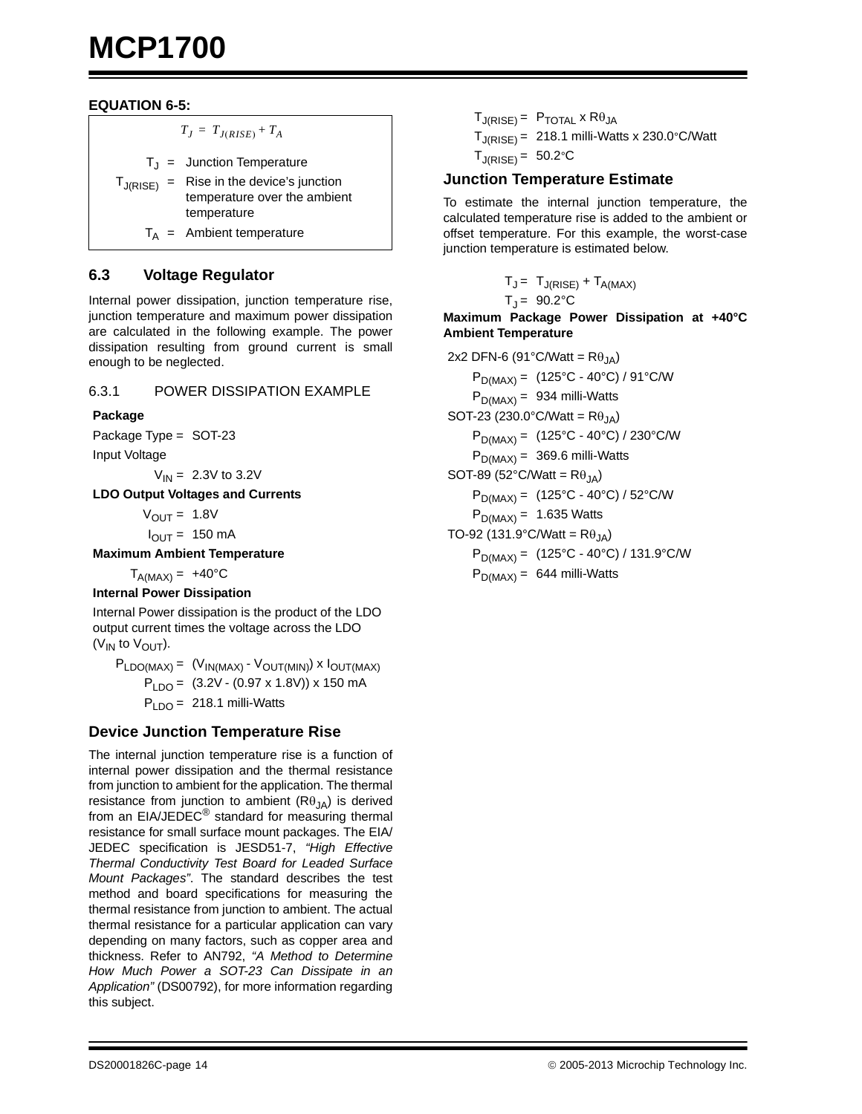#### **EQUATION 6-5:**

$$
T_J = T_{J(RISE)} + T_A
$$

 $T_J$  = Junction Temperature

- $T_{J(RISE)}$  = Rise in the device's junction temperature over the ambient temperature
	- $T_A$  = Ambient temperature

#### **6.3 Voltage Regulator**

Internal power dissipation, junction temperature rise, junction temperature and maximum power dissipation are calculated in the following example. The power dissipation resulting from ground current is small enough to be neglected.

#### 6.3.1 POWER DISSIPATION EXAMPLE

#### **Package**

Package Type = SOT-23

Input Voltage

 $V_{IN} = 2.3V$  to 3.2V

**LDO Output Voltages and Currents**

 $V_{\text{OUT}} = 1.8V$ 

 $I_{\text{OUT}} = 150 \text{ mA}$ 

**Maximum Ambient Temperature**

 $T_{A(MAX)} = +40^{\circ}C$ 

#### **Internal Power Dissipation**

Internal Power dissipation is the product of the LDO output current times the voltage across the LDO  $(V_{IN}$  to  $V_{OUIT}$ ).

 $P_{LDO(MAX)} = (V_{IN(MAX)} - V_{OUT(MIN)}) \times I_{OUT(MAX)}$  $P_{1, DO} = (3.2V - (0.97 \times 1.8V)) \times 150 \text{ mA}$  $P_{\text{LDO}} = 218.1 \text{ milli-Watts}$ 

#### **Device Junction Temperature Rise**

The internal junction temperature rise is a function of internal power dissipation and the thermal resistance from junction to ambient for the application. The thermal resistance from junction to ambient  $(R\theta_{IA})$  is derived from an EIA/JEDEC<sup>®</sup> standard for measuring thermal resistance for small surface mount packages. The EIA/ JEDEC specification is JESD51-7, *"High Effective Thermal Conductivity Test Board for Leaded Surface Mount Packages"*. The standard describes the test method and board specifications for measuring the thermal resistance from junction to ambient. The actual thermal resistance for a particular application can vary depending on many factors, such as copper area and thickness. Refer to AN792, *"A Method to Determine How Much Power a SOT-23 Can Dissipate in an Application"* (DS00792), for more information regarding this subject.

 $T_{J(RISE)} = P_{TOTAL} \times R\theta_{JA}$  $T_{J(RISF)} = 218.1$  milli-Watts x 230.0°C/Watt

### $T_{J(RISF)} = 50.2$ °C

#### **Junction Temperature Estimate**

To estimate the internal junction temperature, the calculated temperature rise is added to the ambient or offset temperature. For this example, the worst-case junction temperature is estimated below.

$$
T_J = T_{J(RISE)} + T_{A(MAX)}
$$

$$
T_J = 90.2^{\circ}C
$$

**Maximum Package Power Dissipation at +40°C Ambient Temperature**

2x2 DFN-6 (91°C/Watt = R
$$
\theta_{JA}
$$
)  
\nP<sub>D(MAX)</sub> = (125°C - 40°C) / 91°C/W  
\nP<sub>D(MAX)</sub> = 934 milli-Watts  
\nSOT-23 (230.0°C/Watt = R $\theta_{JA}$ )  
\nP<sub>D(MAX)</sub> = (125°C - 40°C) / 230°C/W  
\nP<sub>D(MAX)</sub> = 369.6 milli-Watts  
\nSOT-89 (52°C/Watt = R $\theta_{JA}$ )  
\nP<sub>D(MAX)</sub> = (125°C - 40°C) / 52°C/W  
\nP<sub>D(MAX)</sub> = 1.635 Watts  
\nTO-92 (131.9°C/Watt = R $\theta_{JA}$ )  
\nP<sub>D(MAX)</sub> = (125°C - 40°C) / 131.9°C/W  
\nP<sub>D(MAX)</sub> = 644 milli-Watts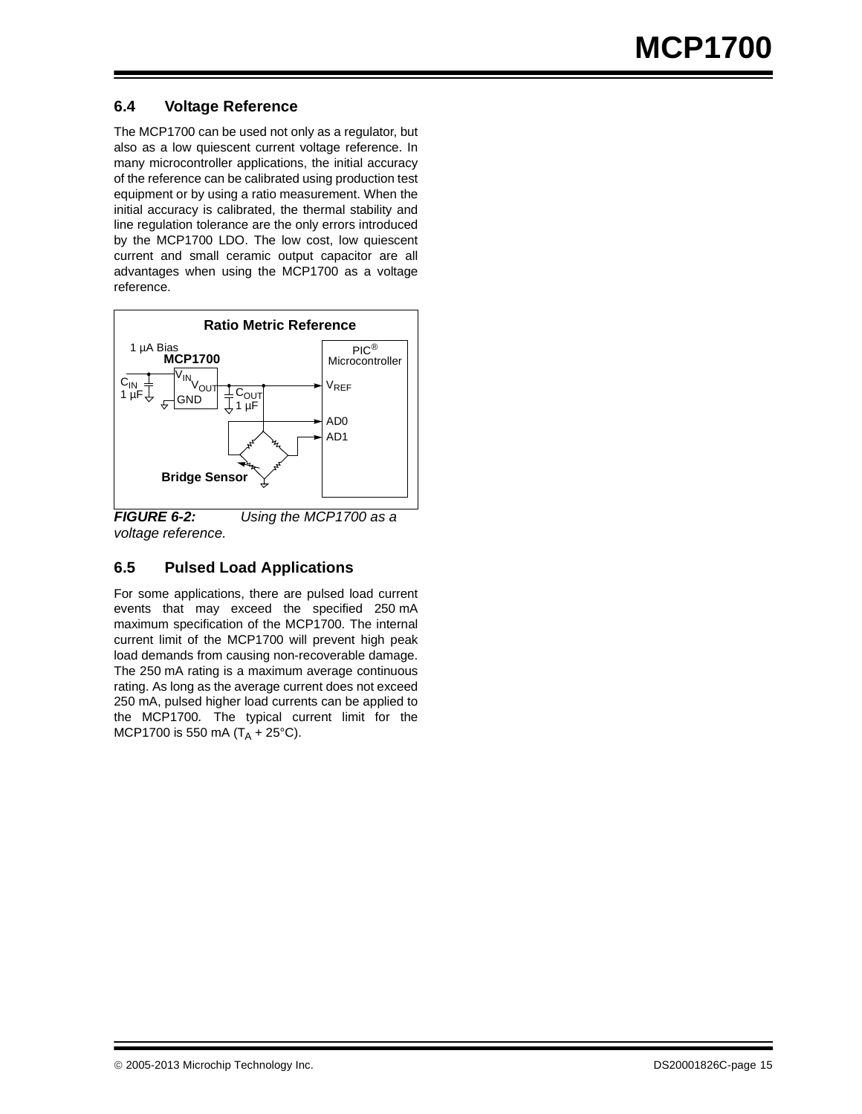#### **6.4 Voltage Reference**

The MCP1700 can be used not only as a regulator, but also as a low quiescent current voltage reference. In many microcontroller applications, the initial accuracy of the reference can be calibrated using production test equipment or by using a ratio measurement. When the initial accuracy is calibrated, the thermal stability and line regulation tolerance are the only errors introduced by the MCP1700 LDO. The low cost, low quiescent current and small ceramic output capacitor are all advantages when using the MCP1700 as a voltage reference.



*FIGURE 6-2: Using the MCP1700 as a voltage reference.*

#### **6.5 Pulsed Load Applications**

For some applications, there are pulsed load current events that may exceed the specified 250 mA maximum specification of the MCP1700. The internal current limit of the MCP1700 will prevent high peak load demands from causing non-recoverable damage. The 250 mA rating is a maximum average continuous rating. As long as the average current does not exceed 250 mA, pulsed higher load currents can be applied to the MCP1700*.* The typical current limit for the MCP1700 is 550 mA  $(T_A + 25^{\circ}C)$ .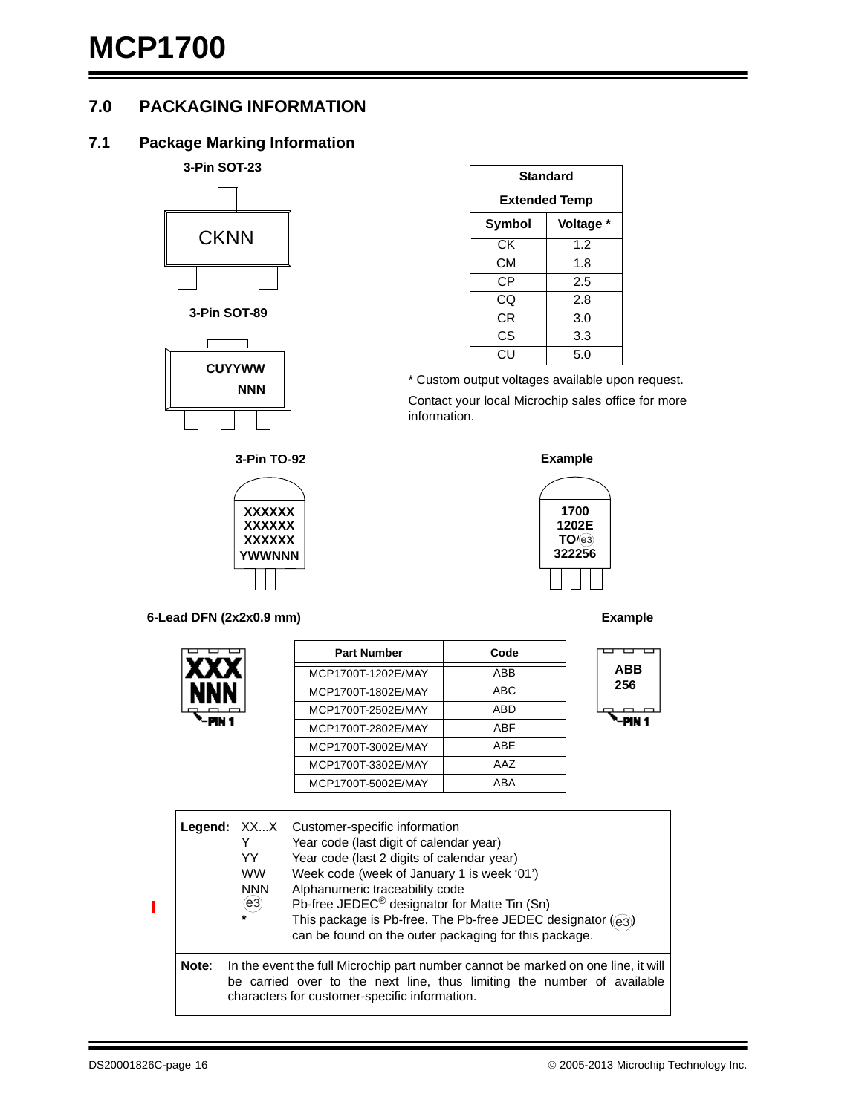#### **7.0 PACKAGING INFORMATION**

#### **7.1 Package Marking Information**

**3-Pin SOT-23**



**3-Pin SOT-89**



**3-Pin TO-92**



**6-Lead DFN (2x2x0.9 mm) Example**

**PIN 1** 

| Standard |                      |  |  |  |  |
|----------|----------------------|--|--|--|--|
|          | <b>Extended Temp</b> |  |  |  |  |
| Symbol   | $\ast$<br>Voltage    |  |  |  |  |
| CΚ       | 1.2                  |  |  |  |  |
| CМ       | 1.8                  |  |  |  |  |
| СP       | 2.5                  |  |  |  |  |
| CQ       | 2.8                  |  |  |  |  |
| СR       | 3.0                  |  |  |  |  |
| СS       | 3.3                  |  |  |  |  |
| CU       | 5.0                  |  |  |  |  |

\* Custom output voltages available upon request.

Contact your local Microchip sales office for more information.

**Example**







|       | Legend: XXX<br>Y<br>YY<br><b>WW</b><br><b>NNN</b><br>(e3)<br>$\star$ | Customer-specific information<br>Year code (last digit of calendar year)<br>Year code (last 2 digits of calendar year)<br>Week code (week of January 1 is week '01')<br>Alphanumeric traceability code<br>Pb-free JEDEC <sup>®</sup> designator for Matte Tin (Sn)<br>This package is Pb-free. The Pb-free JEDEC designator ((e3)) |
|-------|----------------------------------------------------------------------|------------------------------------------------------------------------------------------------------------------------------------------------------------------------------------------------------------------------------------------------------------------------------------------------------------------------------------|
| Note: |                                                                      | can be found on the outer packaging for this package.<br>In the event the full Microchip part number cannot be marked on one line, it will<br>be carried over to the next line, thus limiting the number of available<br>characters for customer-specific information.                                                             |

Part Number | Code MCP1700T-1202E/MAY ABB MCP1700T-1802E/MAY ABC MCP1700T-2502E/MAY ABD MCP1700T-2802E/MAY ABF MCP1700T-3002E/MAY | ABE MCP1700T-3302E/MAY | AAZ MCP1700T-5002E/MAY ABA

п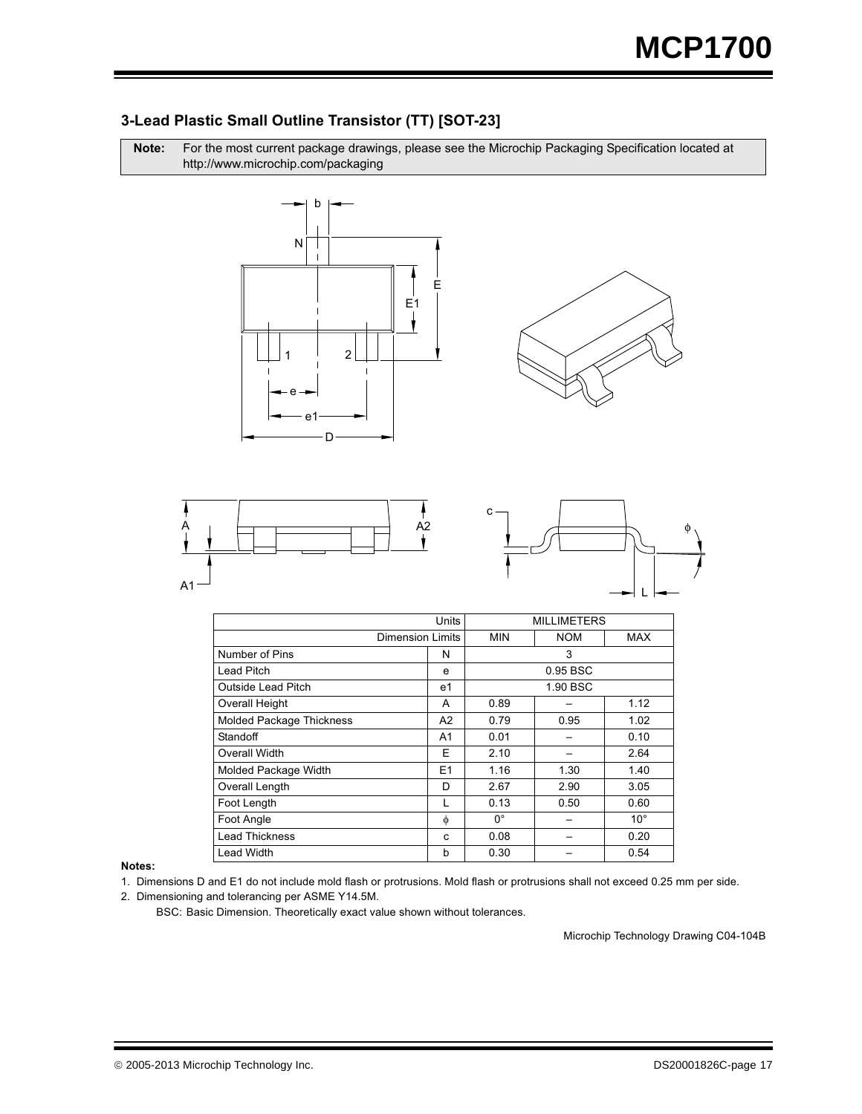#### 3-Lead Plastic Small Outline Transistor (TT) [SOT-23]

Note: For the most current package drawings, please see the Microchip Packaging Specification located at http://www.microchip.com/packaging









|                                 | <b>MILLIMETERS</b>      |             |            |              |
|---------------------------------|-------------------------|-------------|------------|--------------|
|                                 | <b>Dimension Limits</b> |             |            |              |
| Number of Pins                  | N                       |             | 3          |              |
| Lead Pitch                      | e                       |             | $0.95$ BSC |              |
| Outside Lead Pitch              | e1                      |             | 1.90 BSC   |              |
| Overall Height                  | A                       | 0.89        |            | 1.12         |
| <b>Molded Package Thickness</b> | A2                      | 0.79        | 0.95       | 1.02         |
| Standoff                        | A1                      | 0.01        |            | 0.10         |
| Overall Width                   | Е                       | 2.10        |            | 2.64         |
| Molded Package Width            | E1                      | 1.16        | 1.30       | 1.40         |
| Overall Length                  | D                       | 2.67        | 2.90       | 3.05         |
| Foot Length                     |                         | 0.13        | 0.50       | 0.60         |
| Foot Angle                      | φ                       | $0^{\circ}$ |            | $10^{\circ}$ |
| <b>Lead Thickness</b>           | C                       | 0.08        |            | 0.20         |
| <b>Lead Width</b>               | b                       | 0.30        |            | 0.54         |

#### Notes:

1. Dimensions D and E1 do not include mold flash or protrusions. Mold flash or protrusions shall not exceed 0.25 mm per side.

2. Dimensioning and tolerancing per ASME Y14.5M.

BSC: Basic Dimension. Theoretically exact value shown without tolerances.

Microchip Technology Drawing C04-104B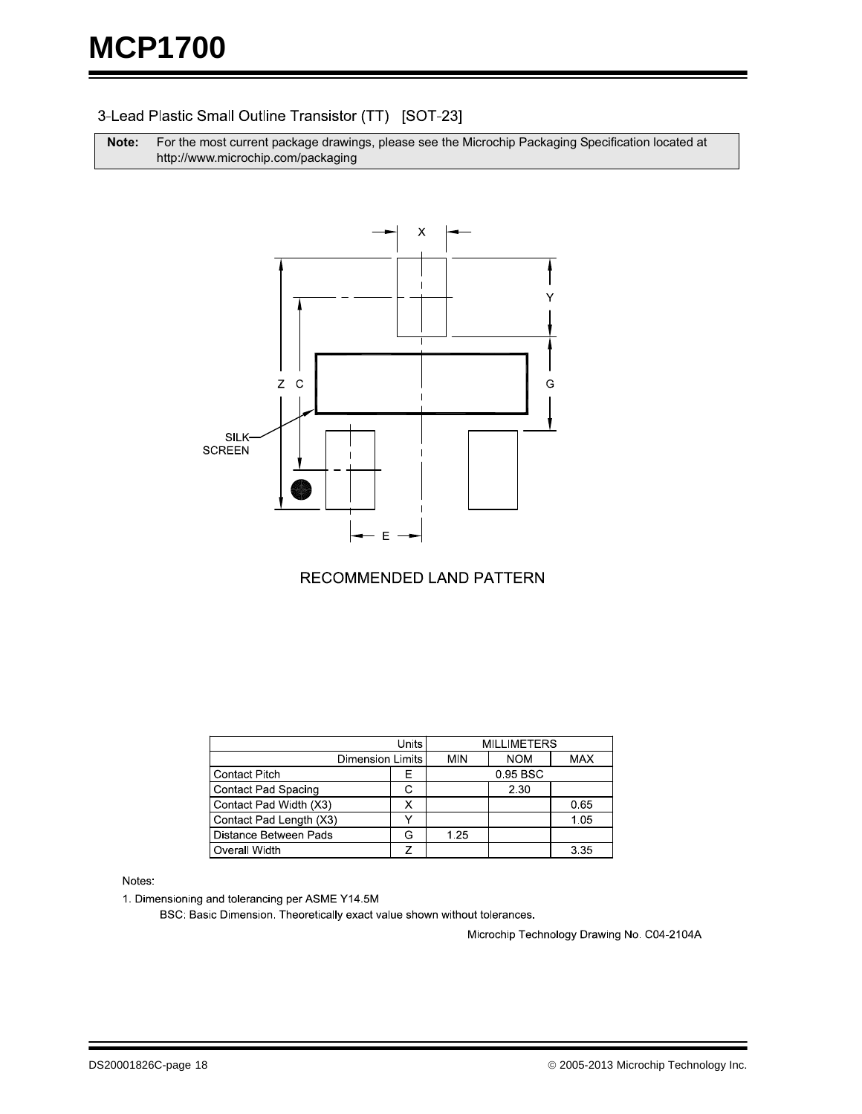#### 3-Lead Plastic Small Outline Transistor (TT) [SOT-23]

**Note:** For the most current package drawings, please see the Microchip Packaging Specification located at http://www.microchip.com/packaging



#### RECOMMENDED LAND PATTERN

|                         | <b>MILLIMETERS</b> |            |            |            |
|-------------------------|--------------------|------------|------------|------------|
| <b>Dimension Limits</b> |                    | <b>MIN</b> | <b>NOM</b> | <b>MAX</b> |
| <b>Contact Pitch</b>    |                    |            | 0.95 BSC   |            |
| Contact Pad Spacing     |                    |            | 2.30       |            |
| Contact Pad Width (X3)  |                    |            |            | 0.65       |
| Contact Pad Length (X3) |                    |            |            | 1.05       |
| Distance Between Pads   |                    | 1.25       |            |            |
| Overall Width           |                    |            |            | 3.35       |

Notes:

1. Dimensioning and tolerancing per ASME Y14.5M

BSC: Basic Dimension. Theoretically exact value shown without tolerances.

Microchip Technology Drawing No. C04-2104A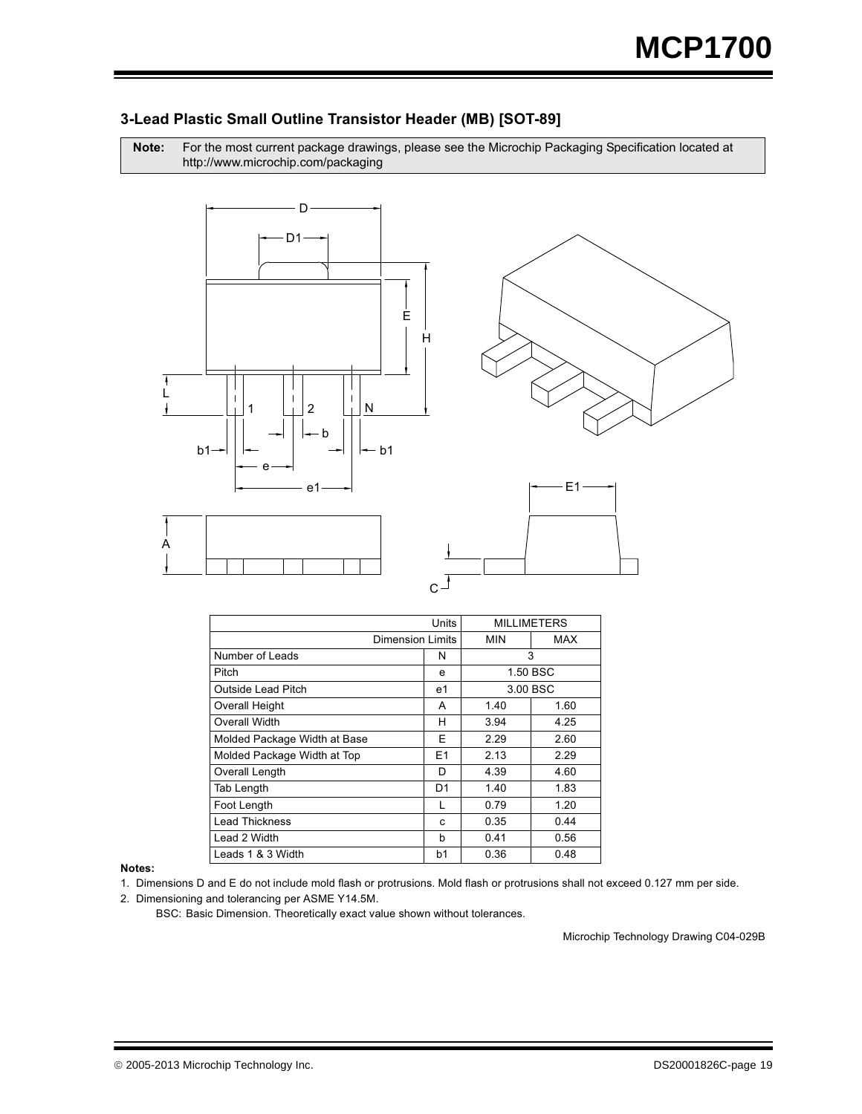#### 3-Lead Plastic Small Outline Transistor Header (MB) [SOT-89]

**Note:** For the most current package drawings, please see the Microchip Packaging Specification located at http://www.microchip.com/packaging









|                              | <b>MILLIMETERS</b> |      |          |  |
|------------------------------|--------------------|------|----------|--|
| <b>Dimension Limits</b>      |                    | MIN  | MAX      |  |
| Number of Leads              | N                  | 3    |          |  |
| Pitch                        | e                  |      | 1.50 BSC |  |
| Outside Lead Pitch           | e1                 |      | 3.00 BSC |  |
| Overall Height               | A                  | 1.40 | 1.60     |  |
| Overall Width                | н                  | 3.94 | 4.25     |  |
| Molded Package Width at Base | Е                  | 2.29 | 2.60     |  |
| Molded Package Width at Top  | E <sub>1</sub>     | 2.13 | 2.29     |  |
| Overall Length               | D                  | 4.39 | 4.60     |  |
| Tab Length                   | D1                 | 1.40 | 1.83     |  |
| Foot Length                  | L                  | 0.79 | 1.20     |  |
| <b>Lead Thickness</b>        | c                  | 0.35 | 0.44     |  |
| Lead 2 Width                 | b                  | 0.41 | 0.56     |  |
| Leads 1 & 3 Width            | b1                 | 0.36 | 0.48     |  |

C

#### Notes:

1. Dimensions D and E do not include mold flash or protrusions. Mold flash or protrusions shall not exceed 0.127 mm per side.

2. Dimensioning and tolerancing per ASME Y14.5M.

BSC: Basic Dimension, Theoretically exact value shown without tolerances.

Microchip Technology Drawing C04-029B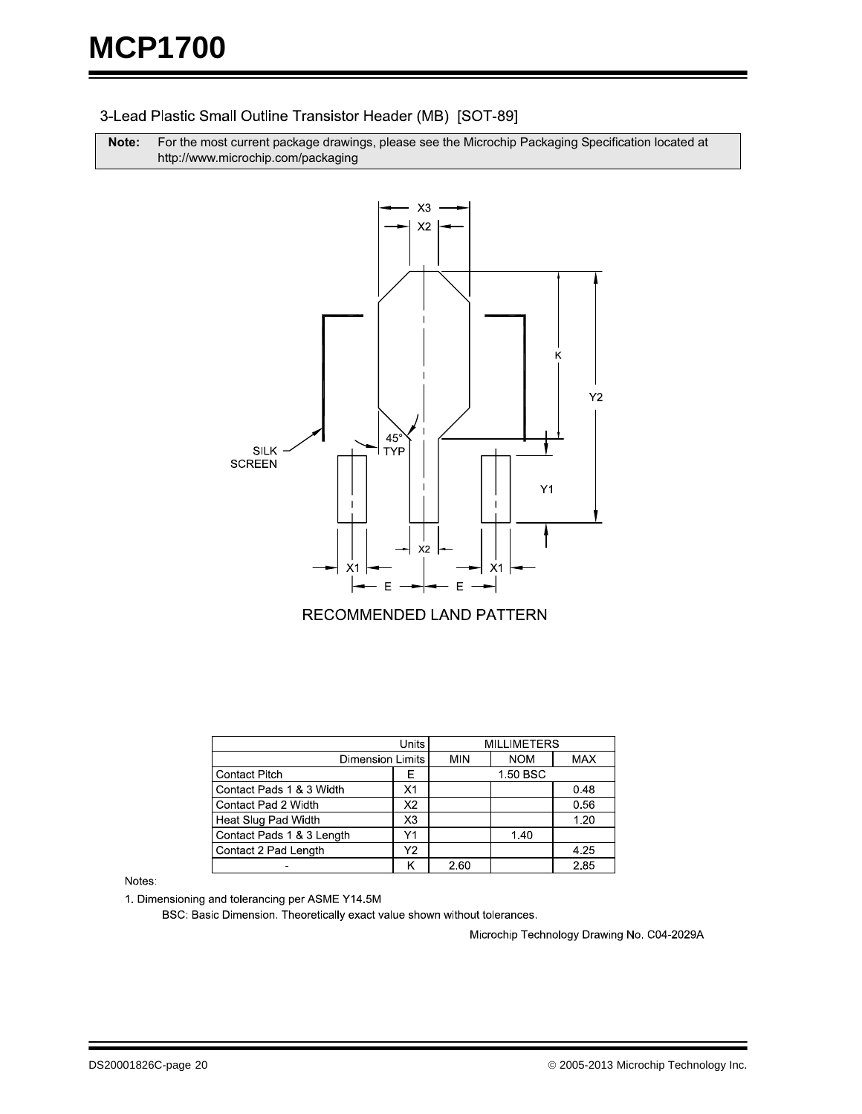3-Lead Plastic Small Outline Transistor Header (MB) [SOT-89]

**Note:** For the most current package drawings, please see the Microchip Packaging Specification located at http://www.microchip.com/packaging



|                          | Un ts |          | <b>MILLIMETERS</b> |      |  |
|--------------------------|-------|----------|--------------------|------|--|
| <b>Dimension Limits</b>  |       | MIN      | <b>NOM</b>         | MAX  |  |
| Contact Pitch            | Е     | 1.50 BSC |                    |      |  |
| Contact Pads 1 & 3 Width | Χ1    |          |                    | 0.48 |  |
| Contact Pad 2 Width      | X2    |          |                    | 0.56 |  |
| Heat Slug Pad Width      | X3    |          |                    | 1.20 |  |

 $Y1$ 

 $\overline{Y2}$ 

 $\overline{\mathsf{K}}$ 

 $2.60$ 

#### Notes:

1. Dimensioning and tolerancing per ASME Y14 5M

Contact Pads 1 & 3 Length

Contact 2 Pad Length

BSC: Basic Dimension. Theoretically exact value shown without tolerances.

Microchip Technology Drawing No. C04-2029A

 $4.25$ 

 $2.85$ 

1.40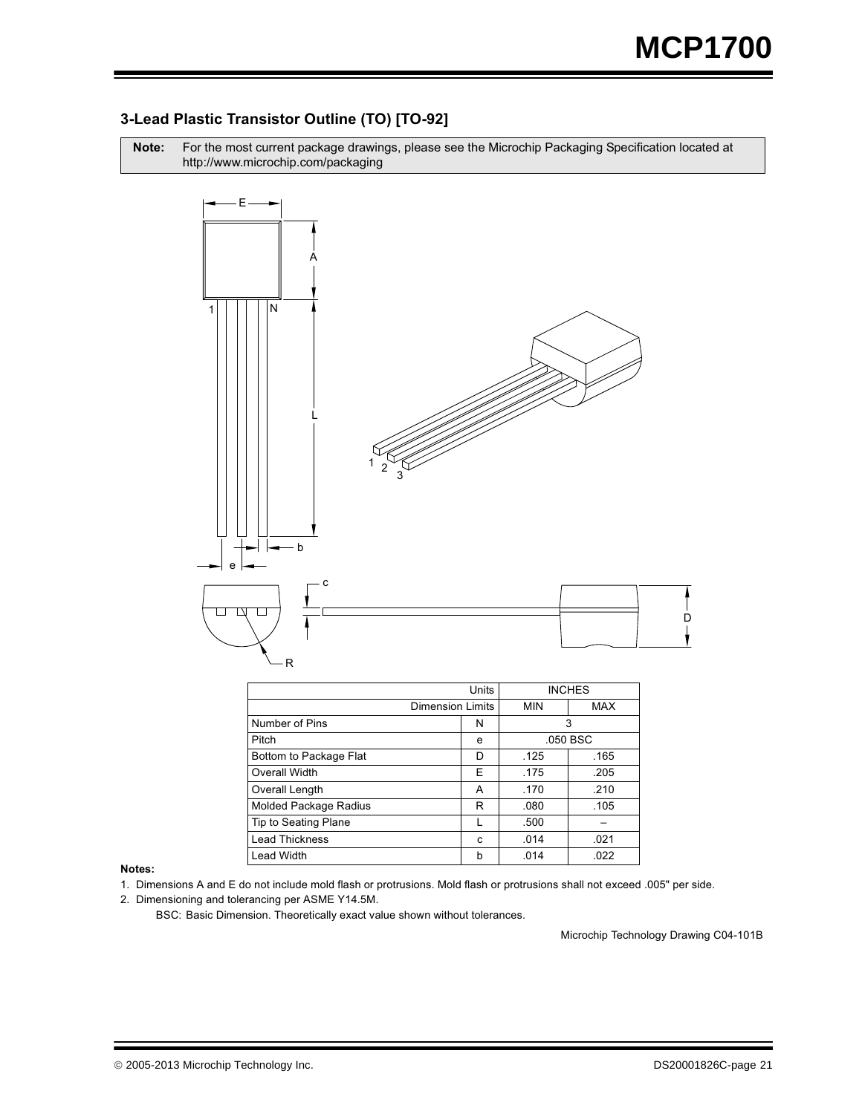#### 3-Lead Plastic Transistor Outline (TO) [TO-92]

**Note:** For the most current package drawings, please see the Microchip Packaging Specification located at http://www.microchip.com/packaging



| Units                   |   | <b>INCHES</b> |            |
|-------------------------|---|---------------|------------|
| <b>Dimension Limits</b> |   | MIN           | <b>MAX</b> |
| Number of Pins          | N | 3             |            |
| Pitch                   | e | .050 BSC      |            |
| Bottom to Package Flat  | D | .125          | .165       |
| Overall Width           | Е | .175          | .205       |
| Overall Length          | А | .170          | .210       |
| Molded Package Radius   | R | .080          | .105       |
| Tip to Seating Plane    |   | .500          |            |
| <b>Lead Thickness</b>   | c | .014          | .021       |
| <b>Lead Width</b>       | b | .014          | .022       |

Notes:

1. Dimensions A and E do not include mold flash or protrusions. Mold flash or protrusions shall not exceed .005" per side.

2. Dimensioning and tolerancing per ASME Y14.5M.

BSC: Basic Dimension, Theoretically exact value shown without tolerances.

Microchip Technology Drawing C04-101B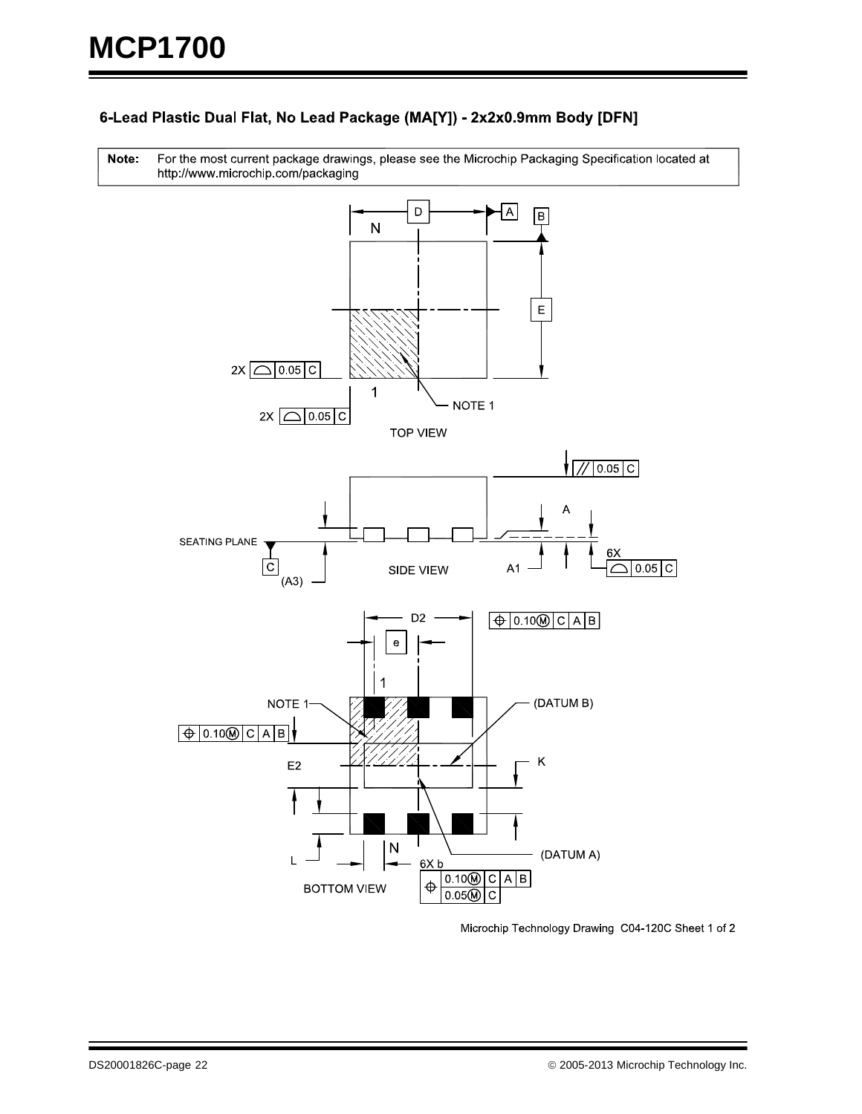#### 6-Lead Plastic Dual Flat, No Lead Package (MA[Y]) - 2x2x0.9mm Body [DFN]

Note: For the most current package drawings, please see the Microchip Packaging Specification located at http://www.microchip.com/packaging



Microchip Technology Drawing C04-120C Sheet 1 of 2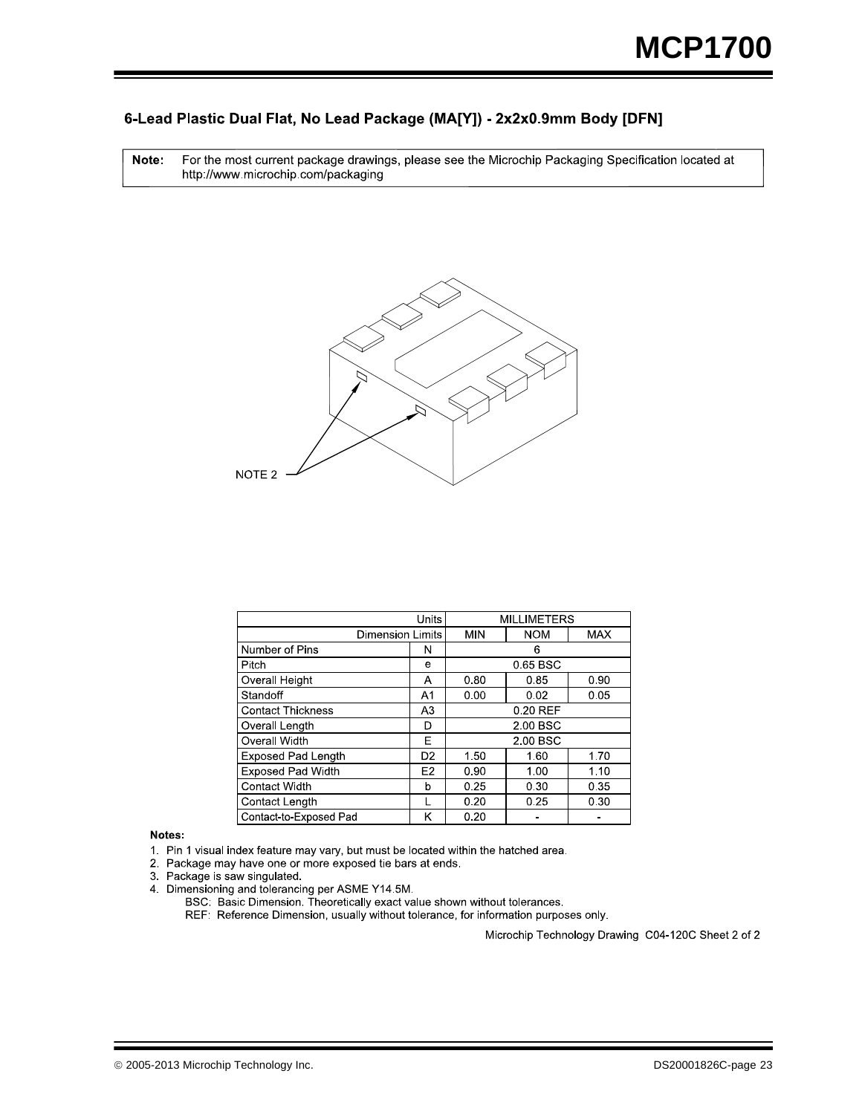#### 6-Lead Plastic Dual Flat, No Lead Package (MA[Y]) - 2x2x0.9mm Body [DFN]

Note: For the most current package drawings, please see the Microchip Packaging Specification located at http://www.microchip.com/packaging



| Units                     |                | <b>MILLIMETERS</b> |            |            |
|---------------------------|----------------|--------------------|------------|------------|
| <b>Dimension Limits</b>   |                | <b>MIN</b>         | <b>NOM</b> | <b>MAX</b> |
| Number of Pins            | N              | 6                  |            |            |
| Pitch                     | e              | 0.65 BSC           |            |            |
| Overall Height            | A              | 0.80               | 0.85       | 0.90       |
| Standoff                  | A1             | 0.00               | 0.02       | 0.05       |
| <b>Contact Thickness</b>  | A <sub>3</sub> | 0.20 REF           |            |            |
| Overall Length            | D              | 2.00 BSC           |            |            |
| Overall Width             | E              | 2.00 BSC           |            |            |
| <b>Exposed Pad Length</b> | D <sub>2</sub> | 1.50               | 1.60       | 1.70       |
| <b>Exposed Pad Width</b>  | E <sub>2</sub> | 0.90               | 1.00       | 1.10       |
| <b>Contact Width</b>      | b              | 0.25               | 0.30       | 0.35       |
| Contact Length            |                | 0.20               | 0.25       | 0.30       |
| Contact-to-Exposed Pad    | Κ              | 0.20               |            |            |

Notes:

1. Pin 1 visual index feature may vary, but must be located within the hatched area.

2. Package may have one or more exposed tie bars at ends.

3. Package is saw singulated.

4. Dimensioning and tolerancing per ASME Y14.5M.

BSC: Basic Dimension. Theoretically exact value shown without tolerances.

REF: Reference Dimension, usually without tolerance, for information purposes only.

Microchip Technology Drawing C04-120C Sheet 2 of 2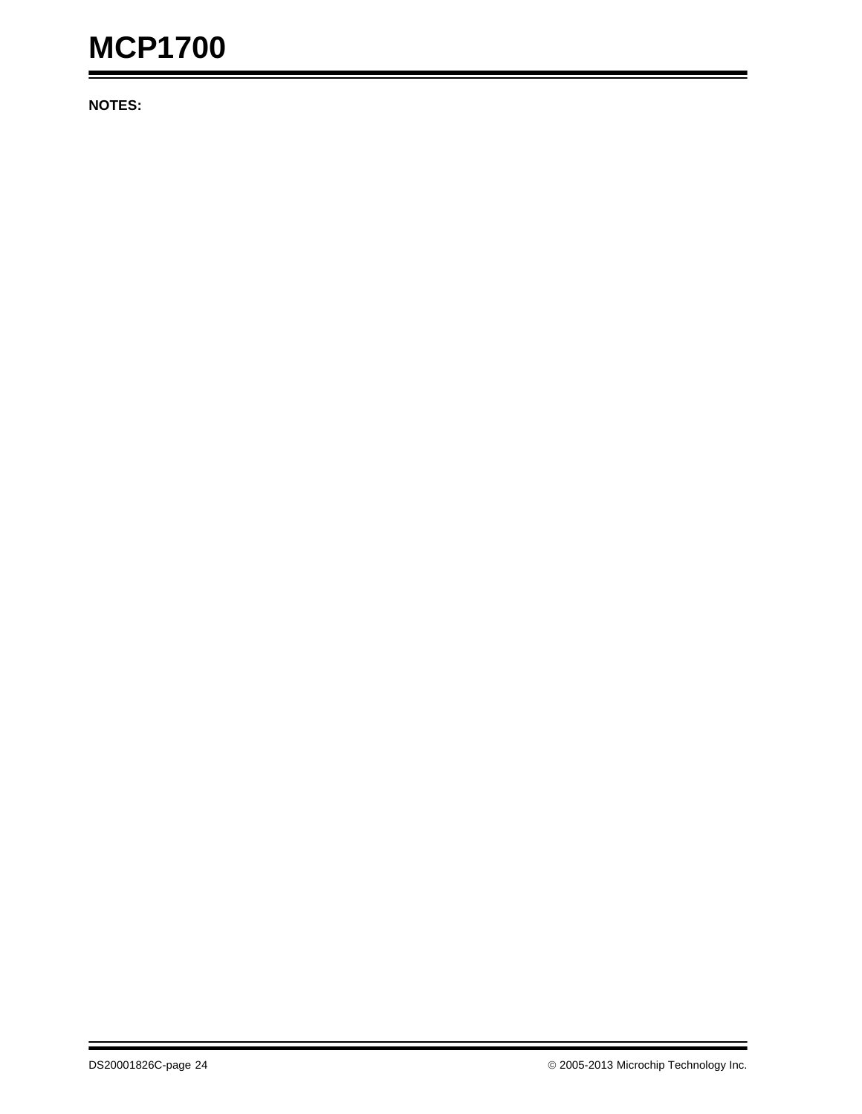# **MCP1700**

**NOTES:**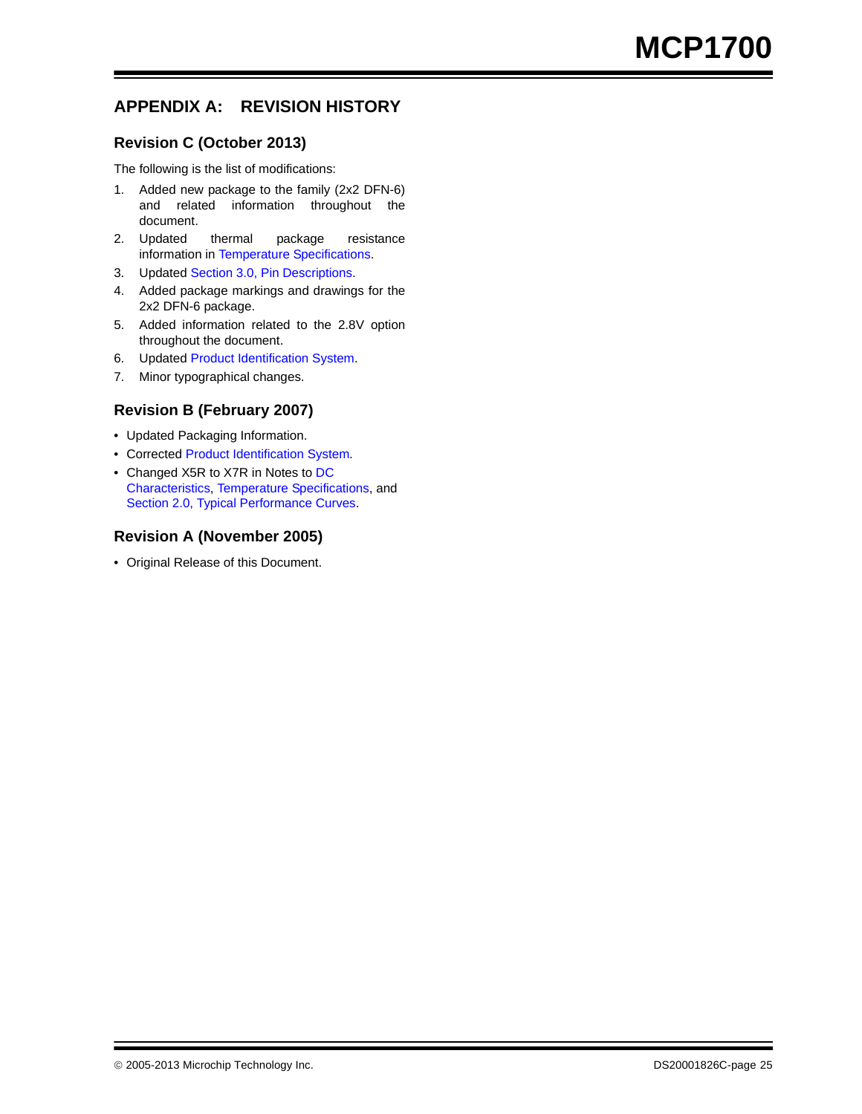#### **APPENDIX A: REVISION HISTORY**

#### **Revision C (October 2013)**

The following is the list of modifications:

- 1. Added new package to the family (2x2 DFN-6) and related information throughout the document.
- 2. Updated thermal package resistance information in [Temperature Specifications](#page-3-1).
- 3. Updated [Section 3.0, Pin Descriptions](#page-9-1).
- 4. Added package markings and drawings for the 2x2 DFN-6 package.
- 5. Added information related to the 2.8V option throughout the document.
- 6. Updated [Product Identification System.](#page-25-0)
- 7. Minor typographical changes.

#### **Revision B (February 2007)**

- Updated Packaging Information.
- Corrected [Product Identification System](#page-25-0).
- Changed X5R to X7R in Notes to DC [Characteristics](#page-2-6), [Temperature Specifications](#page-3-1), and [Section 2.0, Typical Performance Curves.](#page-4-0)

#### **Revision A (November 2005)**

• Original Release of this Document.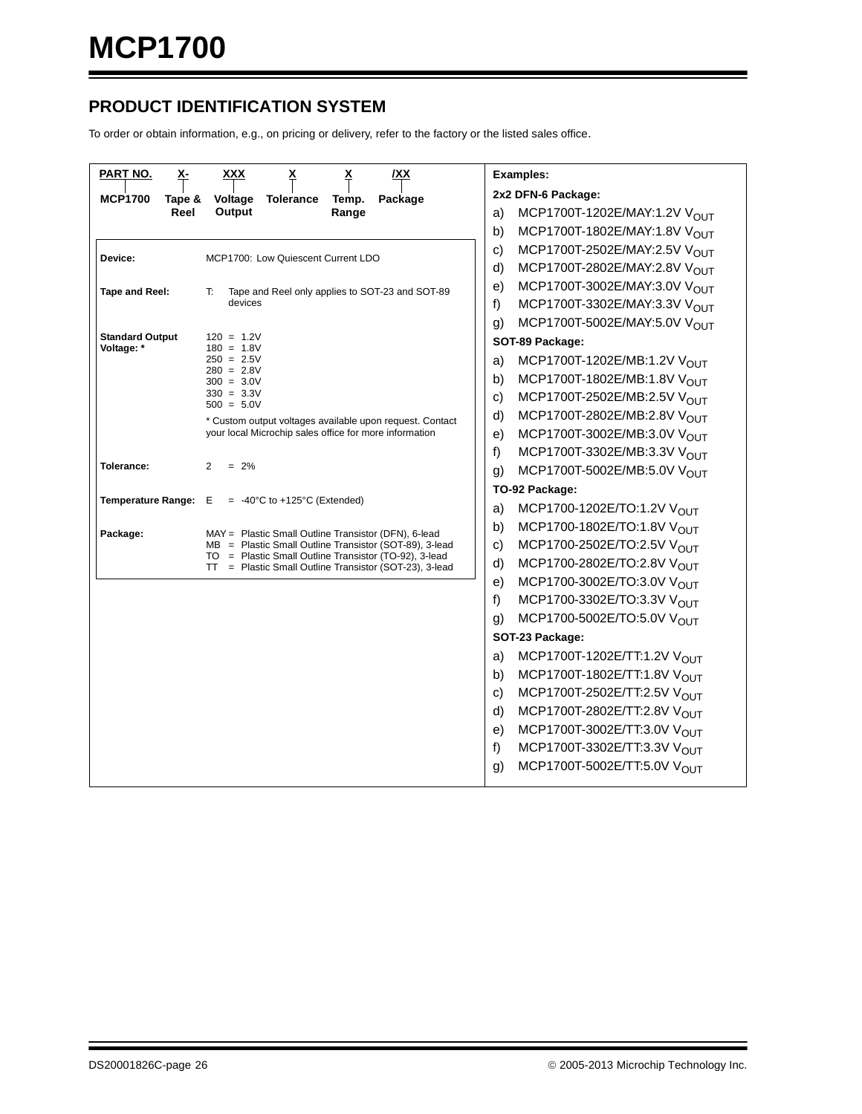### <span id="page-25-0"></span>**PRODUCT IDENTIFICATION SYSTEM**

To order or obtain information, e.g., on pricing or delivery, refer to the factory or the listed sales office.

| <u>PART NO.</u><br><u>x-</u>                                                                                                                                              | <u>XXX</u><br><u>IXX</u><br>¥<br>¥                   | Examples:                          |
|---------------------------------------------------------------------------------------------------------------------------------------------------------------------------|------------------------------------------------------|------------------------------------|
| <b>MCP1700</b><br>Tape &                                                                                                                                                  | Voltage<br><b>Tolerance</b><br>Temp.<br>Package      | 2x2 DFN-6 Package:                 |
| Reel                                                                                                                                                                      | Output<br>Range                                      | MCP1700T-1202E/MAY:1.2V VOUT<br>a) |
|                                                                                                                                                                           |                                                      | MCP1700T-1802E/MAY:1.8V VOUT<br>b) |
| Device:<br>MCP1700: Low Quiescent Current LDO                                                                                                                             |                                                      | MCP1700T-2502E/MAY:2.5V VOUT<br>c) |
|                                                                                                                                                                           |                                                      | MCP1700T-2802E/MAY:2.8V VOUT<br>d) |
| Tape and Reel:<br>Tape and Reel only applies to SOT-23 and SOT-89<br>T:                                                                                                   | MCP1700T-3002E/MAY:3.0V VOUT<br>e)                   |                                    |
| devices                                                                                                                                                                   |                                                      | MCP1700T-3302E/MAY:3.3V VOUT<br>f) |
|                                                                                                                                                                           |                                                      | MCP1700T-5002E/MAY:5.0V VOUT<br>g) |
| <b>Standard Output</b><br>$120 = 1.2V$<br>Voltage: *<br>$180 = 1.8V$                                                                                                      |                                                      | SOT-89 Package:                    |
|                                                                                                                                                                           | $250 = 2.5V$<br>$280 = 2.8V$                         | MCP1700T-1202E/MB:1.2V VOUT<br>a)  |
|                                                                                                                                                                           | $300 = 3.0V$                                         | MCP1700T-1802E/MB:1.8V VOUT<br>b)  |
| $330 = 3.3V$<br>$500 = 5.0V$<br>* Custom output voltages available upon request. Contact<br>your local Microchip sales office for more information                        |                                                      | MCP1700T-2502E/MB:2.5V VOUT<br>C)  |
|                                                                                                                                                                           |                                                      | MCP1700T-2802E/MB:2.8V VOUT<br>d)  |
|                                                                                                                                                                           |                                                      | MCP1700T-3002E/MB:3.0V VOUT<br>e)  |
|                                                                                                                                                                           |                                                      | MCP1700T-3302E/MB:3.3V VOUT<br>f   |
| Tolerance:                                                                                                                                                                | $= 2\%$<br>2                                         | MCP1700T-5002E/MB:5.0V VOUT<br>g)  |
|                                                                                                                                                                           |                                                      | TO-92 Package:                     |
| Temperature Range: E<br>$= -40^{\circ}$ C to +125 $^{\circ}$ C (Extended)                                                                                                 |                                                      | MCP1700-1202E/TO:1.2V VOUT<br>a)   |
| Package:                                                                                                                                                                  | MAY = Plastic Small Outline Transistor (DFN), 6-lead | MCP1700-1802E/TO:1.8V VOUT<br>b)   |
| MB = Plastic Small Outline Transistor (SOT-89), 3-lead<br>TO = Plastic Small Outline Transistor (TO-92), 3-lead<br>TT = Plastic Small Outline Transistor (SOT-23), 3-lead |                                                      | MCP1700-2502E/TO:2.5V VOUT<br>C)   |
|                                                                                                                                                                           |                                                      | MCP1700-2802E/TO:2.8V VOUT<br>d)   |
|                                                                                                                                                                           |                                                      | MCP1700-3002E/TO:3.0V VOUT<br>e)   |
|                                                                                                                                                                           |                                                      | MCP1700-3302E/TO:3.3V VOUT<br>f)   |
|                                                                                                                                                                           |                                                      | MCP1700-5002E/TO:5.0V VOUT<br>g)   |
|                                                                                                                                                                           |                                                      | SOT-23 Package:                    |
|                                                                                                                                                                           |                                                      | MCP1700T-1202E/TT:1.2V VOUT<br>a)  |
|                                                                                                                                                                           |                                                      | MCP1700T-1802E/TT:1.8V VOUT<br>b)  |
|                                                                                                                                                                           |                                                      | MCP1700T-2502E/TT:2.5V VOUT<br>C)  |
|                                                                                                                                                                           |                                                      | MCP1700T-2802E/TT:2.8V VOUT<br>d)  |
|                                                                                                                                                                           |                                                      | MCP1700T-3002E/TT:3.0V VOUT<br>e)  |
|                                                                                                                                                                           |                                                      | MCP1700T-3302E/TT:3.3V VOUT<br>f   |
|                                                                                                                                                                           |                                                      | MCP1700T-5002E/TT:5.0V VOUT<br>g)  |
|                                                                                                                                                                           |                                                      |                                    |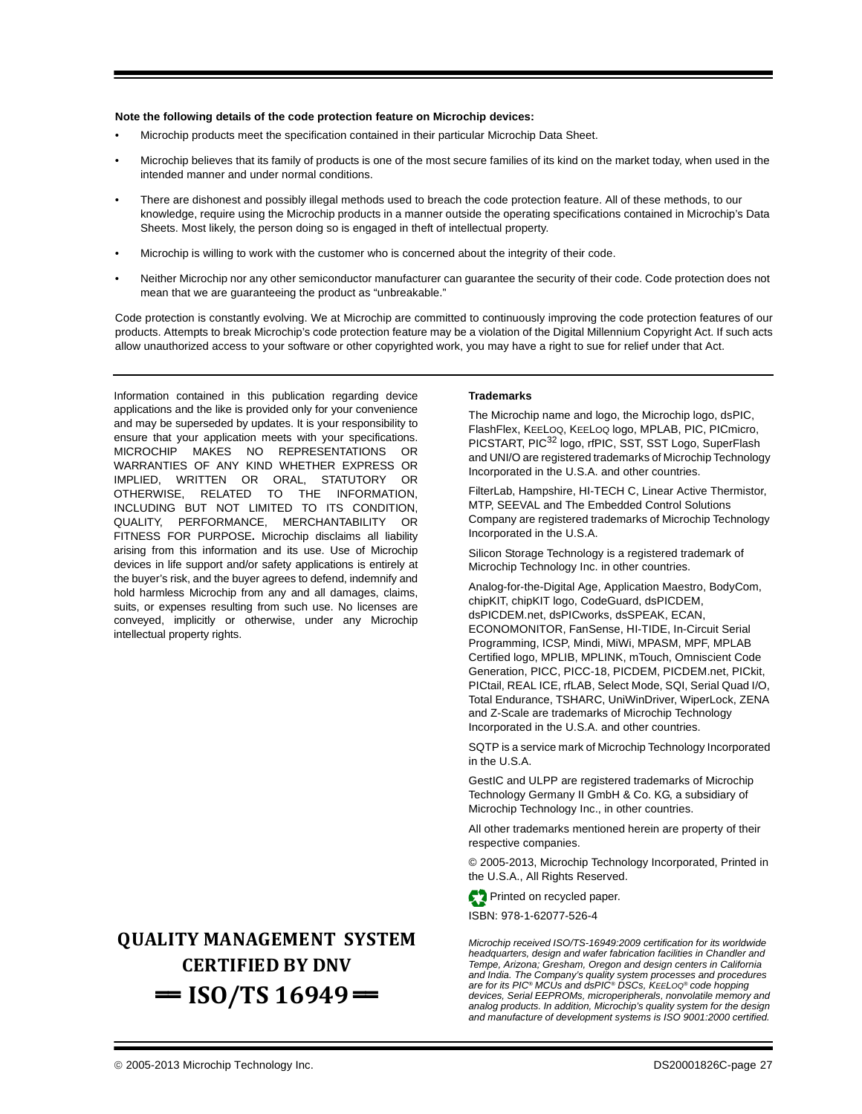#### **Note the following details of the code protection feature on Microchip devices:**

- Microchip products meet the specification contained in their particular Microchip Data Sheet.
- Microchip believes that its family of products is one of the most secure families of its kind on the market today, when used in the intended manner and under normal conditions.
- There are dishonest and possibly illegal methods used to breach the code protection feature. All of these methods, to our knowledge, require using the Microchip products in a manner outside the operating specifications contained in Microchip's Data Sheets. Most likely, the person doing so is engaged in theft of intellectual property.
- Microchip is willing to work with the customer who is concerned about the integrity of their code.
- Neither Microchip nor any other semiconductor manufacturer can guarantee the security of their code. Code protection does not mean that we are guaranteeing the product as "unbreakable."

Code protection is constantly evolving. We at Microchip are committed to continuously improving the code protection features of our products. Attempts to break Microchip's code protection feature may be a violation of the Digital Millennium Copyright Act. If such acts allow unauthorized access to your software or other copyrighted work, you may have a right to sue for relief under that Act.

Information contained in this publication regarding device applications and the like is provided only for your convenience and may be superseded by updates. It is your responsibility to ensure that your application meets with your specifications. MICROCHIP MAKES NO REPRESENTATIONS OR WARRANTIES OF ANY KIND WHETHER EXPRESS OR IMPLIED, WRITTEN OR ORAL, STATUTORY OR OTHERWISE, RELATED TO THE INFORMATION, INCLUDING BUT NOT LIMITED TO ITS CONDITION, QUALITY, PERFORMANCE, MERCHANTABILITY OR FITNESS FOR PURPOSE**.** Microchip disclaims all liability arising from this information and its use. Use of Microchip devices in life support and/or safety applications is entirely at the buyer's risk, and the buyer agrees to defend, indemnify and hold harmless Microchip from any and all damages, claims, suits, or expenses resulting from such use. No licenses are conveyed, implicitly or otherwise, under any Microchip intellectual property rights.

# **QUALITY MANAGEMENT SYSTEM CERTIFIED BY DNV**   $=$  **ISO/TS 16949** $=$

#### **Trademarks**

The Microchip name and logo, the Microchip logo, dsPIC, FlashFlex, KEELOQ, KEELOQ logo, MPLAB, PIC, PICmicro, PICSTART, PIC<sup>32</sup> logo, rfPIC, SST, SST Logo, SuperFlash and UNI/O are registered trademarks of Microchip Technology Incorporated in the U.S.A. and other countries.

FilterLab, Hampshire, HI-TECH C, Linear Active Thermistor, MTP, SEEVAL and The Embedded Control Solutions Company are registered trademarks of Microchip Technology Incorporated in the U.S.A.

Silicon Storage Technology is a registered trademark of Microchip Technology Inc. in other countries.

Analog-for-the-Digital Age, Application Maestro, BodyCom, chipKIT, chipKIT logo, CodeGuard, dsPICDEM, dsPICDEM.net, dsPICworks, dsSPEAK, ECAN, ECONOMONITOR, FanSense, HI-TIDE, In-Circuit Serial Programming, ICSP, Mindi, MiWi, MPASM, MPF, MPLAB Certified logo, MPLIB, MPLINK, mTouch, Omniscient Code Generation, PICC, PICC-18, PICDEM, PICDEM.net, PICkit, PICtail, REAL ICE, rfLAB, Select Mode, SQI, Serial Quad I/O, Total Endurance, TSHARC, UniWinDriver, WiperLock, ZENA and Z-Scale are trademarks of Microchip Technology Incorporated in the U.S.A. and other countries.

SQTP is a service mark of Microchip Technology Incorporated in the U.S.A.

GestIC and ULPP are registered trademarks of Microchip Technology Germany II GmbH & Co. KG, a subsidiary of Microchip Technology Inc., in other countries.

All other trademarks mentioned herein are property of their respective companies.

© 2005-2013, Microchip Technology Incorporated, Printed in the U.S.A., All Rights Reserved.

Printed on recycled paper.

ISBN: 978-1-62077-526-4

*Microchip received ISO/TS-16949:2009 certification for its worldwide headquarters, design and wafer fabrication facilities in Chandler and Tempe, Arizona; Gresham, Oregon and design centers in California and India. The Company's quality system processes and procedures are for its PIC® MCUs and dsPIC® DSCs, KEELOQ® code hopping devices, Serial EEPROMs, microperipherals, nonvolatile memory and analog products. In addition, Microchip's quality system for the design and manufacture of development systems is ISO 9001:2000 certified.*